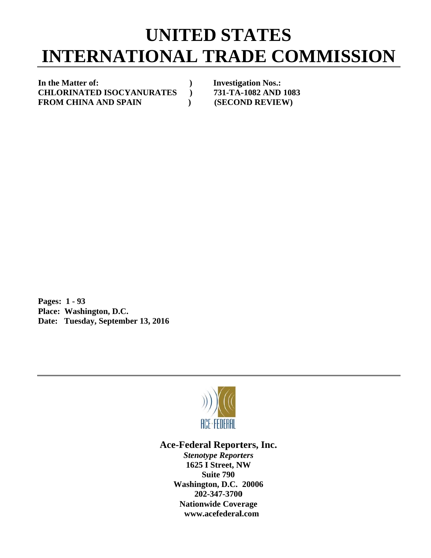## **INTERNATIONAL TRADE COMMISSION UNITED STATES**

In the Matter of: **C CHLORINA ATED ISOC CYANURA TES ) F FROM CHI INA AND S SPAIN ) )** 

**Investigation Nos.: 731-TA- -1082 AND 1083 (SECOND REVIEW)** 

**P Pages: 1 - 9 93 P Place: Was hington, D.C C.**  Date: Tuesday, September 13, 2016



## Ace-Federal Reporters, Inc.

**Stenotype Reporters 1625 I Street, NW Washin gton, D.C. 20006 20 02-347-3700** 202-347-3700<br>Nationwide Coverage **www w.acefederal l.com Suite 790**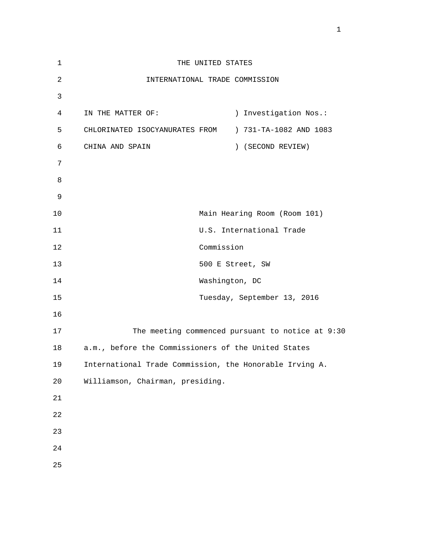| $\mathbf 1$    | THE UNITED STATES                                       |                |                                         |
|----------------|---------------------------------------------------------|----------------|-----------------------------------------|
| 2              | INTERNATIONAL TRADE COMMISSION                          |                |                                         |
| 3              |                                                         |                |                                         |
| $\overline{4}$ | IN THE MATTER OF:                                       |                | Investigation Nos.:<br>$\left( \right)$ |
| 5              | CHLORINATED ISOCYANURATES FROM                          |                | ) 731-TA-1082 AND 1083                  |
| 6              | CHINA AND SPAIN                                         |                | ) (SECOND REVIEW)                       |
| 7              |                                                         |                |                                         |
| 8              |                                                         |                |                                         |
| 9              |                                                         |                |                                         |
| 10             |                                                         |                | Main Hearing Room (Room 101)            |
| 11             |                                                         |                | U.S. International Trade                |
| 12             |                                                         | Commission     |                                         |
| 13             |                                                         |                | 500 E Street, SW                        |
| 14             |                                                         | Washington, DC |                                         |
| 15             |                                                         |                | Tuesday, September 13, 2016             |
| 16             |                                                         |                |                                         |
| 17             | The meeting commenced pursuant to notice at 9:30        |                |                                         |
| 18             | a.m., before the Commissioners of the United States     |                |                                         |
| 19             | International Trade Commission, the Honorable Irving A. |                |                                         |
| $20$           | Williamson, Chairman, presiding.                        |                |                                         |
| $2\sqrt{1}$    |                                                         |                |                                         |
| 22             |                                                         |                |                                         |
| 23             |                                                         |                |                                         |
| $2\sqrt{4}$    |                                                         |                |                                         |
| 25             |                                                         |                |                                         |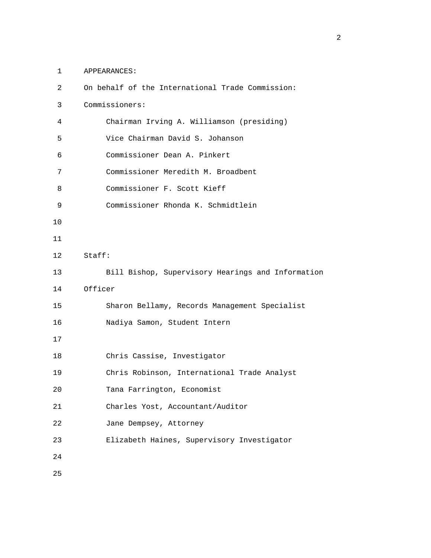1 APPEARANCES:

| 2               | On behalf of the International Trade Commission:  |
|-----------------|---------------------------------------------------|
| 3               | Commissioners:                                    |
| 4               | Chairman Irving A. Williamson (presiding)         |
| 5               | Vice Chairman David S. Johanson                   |
| 6               | Commissioner Dean A. Pinkert                      |
| 7               | Commissioner Meredith M. Broadbent                |
| 8               | Commissioner F. Scott Kieff                       |
| 9               | Commissioner Rhonda K. Schmidtlein                |
| 10              |                                                   |
| 11              |                                                   |
| 12 <sup>°</sup> | Staff:                                            |
| 13              | Bill Bishop, Supervisory Hearings and Information |
| 14              | Officer                                           |
| 15              | Sharon Bellamy, Records Management Specialist     |
| 16              | Nadiya Samon, Student Intern                      |
| 17              |                                                   |
| 18              | Chris Cassise, Investigator                       |
| 19              | Chris Robinson, International Trade Analyst       |
| 20              | Tana Farrington, Economist                        |
| 21              | Charles Yost, Accountant/Auditor                  |
| 22              | Jane Dempsey, Attorney                            |
| 23              | Elizabeth Haines, Supervisory Investigator        |
| 24              |                                                   |
| 25              |                                                   |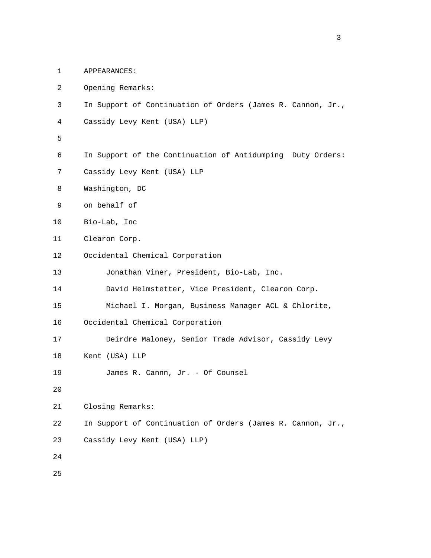- 1 APPEARANCES:
- 2 Opening Remarks:
- 3 In Support of Continuation of Orders (James R. Cannon, Jr.,
- 4 Cassidy Levy Kent (USA) LLP)
- $5<sub>5</sub>$ 
	- 6 In Support of the Continuation of Antidumping Duty Orders:
	- 7 Cassidy Levy Kent (USA) LLP
	- 8 Washington, DC
	- 9 on behalf of
	- 10 Bio-Lab, Inc
	- 11 Clearon Corp.
	- 12 Occidental Chemical Corporation
	- 13 Jonathan Viner, President, Bio-Lab, Inc.
	- 14 David Helmstetter, Vice President, Clearon Corp.
	- 15 Michael I. Morgan, Business Manager ACL & Chlorite,
	- 16 Occidental Chemical Corporation
	- 17 Deirdre Maloney, Senior Trade Advisor, Cassidy Levy
	- 18 Kent (USA) LLP
	- 19 James R. Cannn, Jr. Of Counsel
	- 20

21 Closing Remarks:

- 22 In Support of Continuation of Orders (James R. Cannon, Jr.,
- 23 Cassidy Levy Kent (USA) LLP)
- 24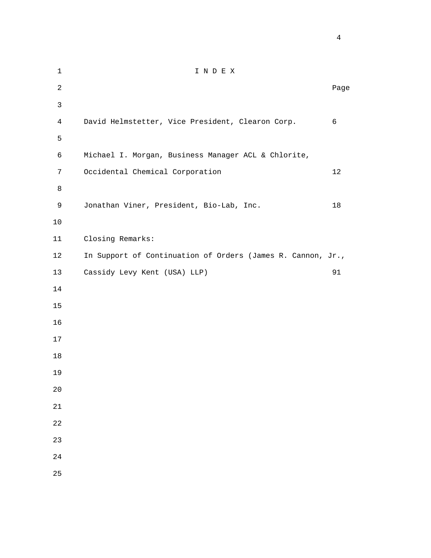1 I N D E X **Page 12** Page 2 **Page 2** Page 2 Page 2 Page 2 Page 2 Page 2 Page 2 Page 2 Page 2 Page 2 Page 2 Page 2 Page 2 Page 2 Page 2 Page 2 Page 2 Page 2 Page 2 Page 2 Page 2 Page 2 Page 2 Page 2 Page 2 Page 2 Page 2 Page 2 Page 4 David Helmstetter, Vice President, Clearon Corp. 6  $5<sub>5</sub>$  6 Michael I. Morgan, Business Manager ACL & Chlorite, 7 Occidental Chemical Corporation 12 9 Jonathan Viner, President, Bio-Lab, Inc. 18 11 Closing Remarks: 12 In Support of Continuation of Orders (James R. Cannon, Jr., 13 Cassidy Levy Kent (USA) LLP) 91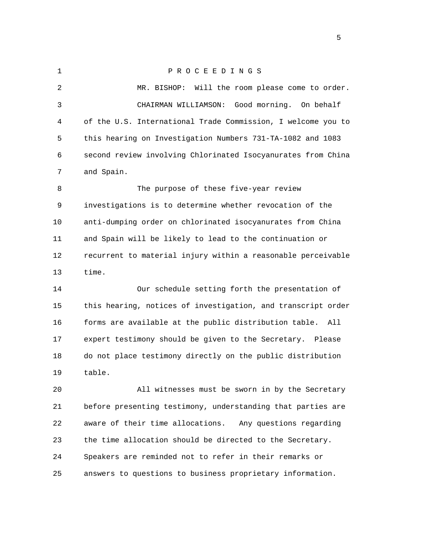1 P R O C E E D I N G S 2 MR. BISHOP: Will the room please come to order. 3 CHAIRMAN WILLIAMSON: Good morning. On behalf 4 of the U.S. International Trade Commission, I welcome you to 5 this hearing on Investigation Numbers 731-TA-1082 and 1083 6 second review involving Chlorinated Isocyanurates from China 7 and Spain. 8 The purpose of these five-year review 9 investigations is to determine whether revocation of the 10 anti-dumping order on chlorinated isocyanurates from China 11 and Spain will be likely to lead to the continuation or 12 recurrent to material injury within a reasonable perceivable 13 time. 14 Our schedule setting forth the presentation of 15 this hearing, notices of investigation, and transcript order 16 forms are available at the public distribution table. All 17 expert testimony should be given to the Secretary. Please 18 do not place testimony directly on the public distribution 19 table. 20 All witnesses must be sworn in by the Secretary 21 before presenting testimony, understanding that parties are

 22 aware of their time allocations. Any questions regarding 23 the time allocation should be directed to the Secretary. 24 Speakers are reminded not to refer in their remarks or 25 answers to questions to business proprietary information.

 $\sim$  5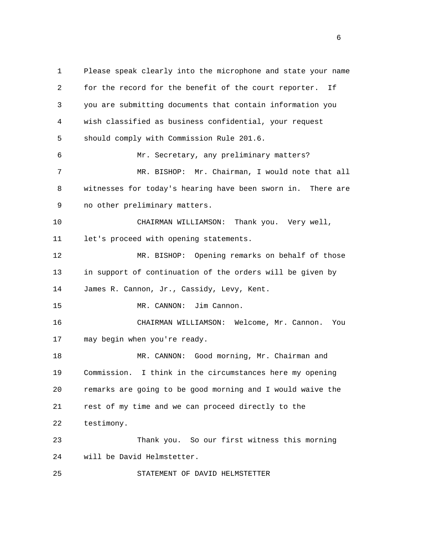1 Please speak clearly into the microphone and state your name 2 for the record for the benefit of the court reporter. If 3 you are submitting documents that contain information you 4 wish classified as business confidential, your request 5 should comply with Commission Rule 201.6. 6 Mr. Secretary, any preliminary matters? 7 MR. BISHOP: Mr. Chairman, I would note that all 8 witnesses for today's hearing have been sworn in. There are 9 no other preliminary matters. 10 CHAIRMAN WILLIAMSON: Thank you. Very well, 11 let's proceed with opening statements. 12 MR. BISHOP: Opening remarks on behalf of those 13 in support of continuation of the orders will be given by 14 James R. Cannon, Jr., Cassidy, Levy, Kent. 15 MR. CANNON: Jim Cannon. 16 CHAIRMAN WILLIAMSON: Welcome, Mr. Cannon. You 17 may begin when you're ready. 18 MR. CANNON: Good morning, Mr. Chairman and 19 Commission. I think in the circumstances here my opening 20 remarks are going to be good morning and I would waive the 21 rest of my time and we can proceed directly to the 22 testimony. 23 Thank you. So our first witness this morning 24 will be David Helmstetter. 25 STATEMENT OF DAVID HELMSTETTER

 $\sim$  6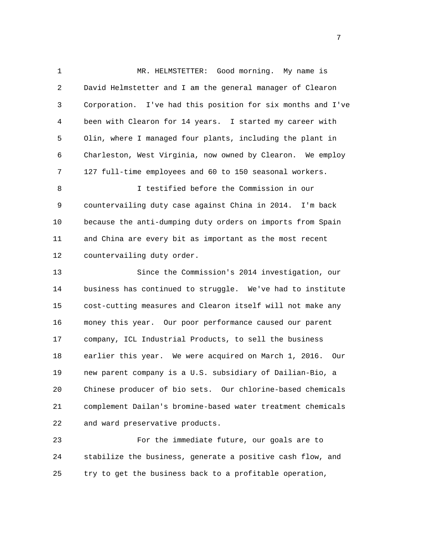1 MR. HELMSTETTER: Good morning. My name is 2 David Helmstetter and I am the general manager of Clearon 3 Corporation. I've had this position for six months and I've 4 been with Clearon for 14 years. I started my career with 5 Olin, where I managed four plants, including the plant in 6 Charleston, West Virginia, now owned by Clearon. We employ 7 127 full-time employees and 60 to 150 seasonal workers.

 8 I testified before the Commission in our 9 countervailing duty case against China in 2014. I'm back 10 because the anti-dumping duty orders on imports from Spain 11 and China are every bit as important as the most recent 12 countervailing duty order.

 13 Since the Commission's 2014 investigation, our 14 business has continued to struggle. We've had to institute 15 cost-cutting measures and Clearon itself will not make any 16 money this year. Our poor performance caused our parent 17 company, ICL Industrial Products, to sell the business 18 earlier this year. We were acquired on March 1, 2016. Our 19 new parent company is a U.S. subsidiary of Dailian-Bio, a 20 Chinese producer of bio sets. Our chlorine-based chemicals 21 complement Dailan's bromine-based water treatment chemicals 22 and ward preservative products.

 23 For the immediate future, our goals are to 24 stabilize the business, generate a positive cash flow, and 25 try to get the business back to a profitable operation,

<u>2003: The contract of the contract of the contract of the contract of the contract of the contract of the con</u>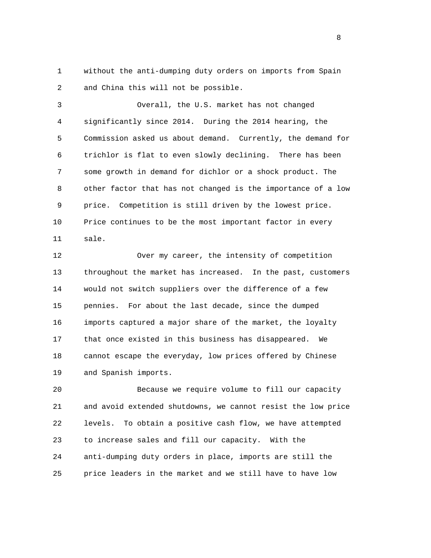1 without the anti-dumping duty orders on imports from Spain 2 and China this will not be possible.

 3 Overall, the U.S. market has not changed 4 significantly since 2014. During the 2014 hearing, the 5 Commission asked us about demand. Currently, the demand for 6 trichlor is flat to even slowly declining. There has been 7 some growth in demand for dichlor or a shock product. The 8 other factor that has not changed is the importance of a low 9 price. Competition is still driven by the lowest price. 10 Price continues to be the most important factor in every 11 sale.

 12 Over my career, the intensity of competition 13 throughout the market has increased. In the past, customers 14 would not switch suppliers over the difference of a few 15 pennies. For about the last decade, since the dumped 16 imports captured a major share of the market, the loyalty 17 that once existed in this business has disappeared. We 18 cannot escape the everyday, low prices offered by Chinese 19 and Spanish imports.

 20 Because we require volume to fill our capacity 21 and avoid extended shutdowns, we cannot resist the low price 22 levels. To obtain a positive cash flow, we have attempted 23 to increase sales and fill our capacity. With the 24 anti-dumping duty orders in place, imports are still the 25 price leaders in the market and we still have to have low

experience of the state of the state of the state of the state of the state of the state of the state of the s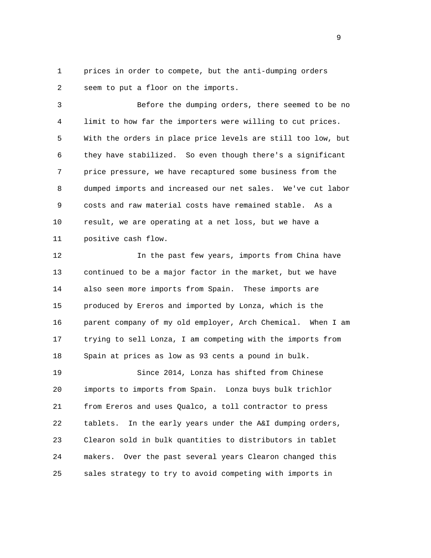1 prices in order to compete, but the anti-dumping orders 2 seem to put a floor on the imports.

 3 Before the dumping orders, there seemed to be no 4 limit to how far the importers were willing to cut prices. 5 With the orders in place price levels are still too low, but 6 they have stabilized. So even though there's a significant 7 price pressure, we have recaptured some business from the 8 dumped imports and increased our net sales. We've cut labor 9 costs and raw material costs have remained stable. As a 10 result, we are operating at a net loss, but we have a 11 positive cash flow.

 12 In the past few years, imports from China have 13 continued to be a major factor in the market, but we have 14 also seen more imports from Spain. These imports are 15 produced by Ereros and imported by Lonza, which is the 16 parent company of my old employer, Arch Chemical. When I am 17 trying to sell Lonza, I am competing with the imports from 18 Spain at prices as low as 93 cents a pound in bulk.

 19 Since 2014, Lonza has shifted from Chinese 20 imports to imports from Spain. Lonza buys bulk trichlor 21 from Ereros and uses Qualco, a toll contractor to press 22 tablets. In the early years under the A&I dumping orders, 23 Clearon sold in bulk quantities to distributors in tablet 24 makers. Over the past several years Clearon changed this 25 sales strategy to try to avoid competing with imports in

en de la provincia de la provincia de la provincia de la provincia de la provincia de la provincia de la provi<br>1900 : la provincia de la provincia de la provincia de la provincia de la provincia de la provincia de la prov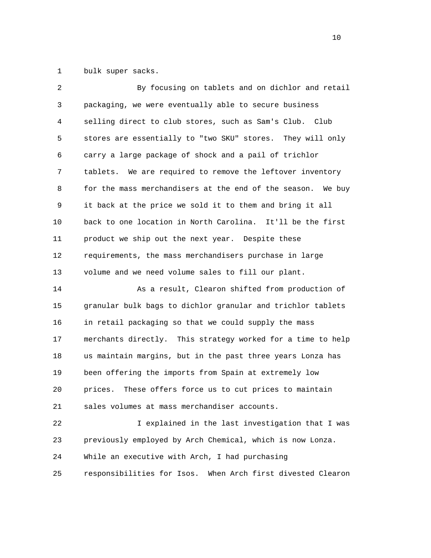1 bulk super sacks.

| 2  | By focusing on tablets and on dichlor and retail               |
|----|----------------------------------------------------------------|
| 3  | packaging, we were eventually able to secure business          |
| 4  | selling direct to club stores, such as Sam's Club. Club        |
| 5  | stores are essentially to "two SKU" stores. They will only     |
| 6  | carry a large package of shock and a pail of trichlor          |
| 7  | We are required to remove the leftover inventory<br>tablets.   |
| 8  | for the mass merchandisers at the end of the season.<br>We buy |
| 9  | it back at the price we sold it to them and bring it all       |
| 10 | back to one location in North Carolina. It'll be the first     |
| 11 | product we ship out the next year. Despite these               |
| 12 | requirements, the mass merchandisers purchase in large         |
| 13 | volume and we need volume sales to fill our plant.             |
| 14 | As a result, Clearon shifted from production of                |
| 15 | granular bulk bags to dichlor granular and trichlor tablets    |
| 16 | in retail packaging so that we could supply the mass           |
| 17 | merchants directly. This strategy worked for a time to help    |
| 18 | us maintain margins, but in the past three years Lonza has     |
| 19 | been offering the imports from Spain at extremely low          |
| 20 | These offers force us to cut prices to maintain<br>prices.     |
| 21 | sales volumes at mass merchandiser accounts.                   |
| 22 | I explained in the last investigation that I was               |
| 23 | previously employed by Arch Chemical, which is now Lonza.      |
| 24 | While an executive with Arch, I had purchasing                 |
| 25 | responsibilities for Isos. When Arch first divested Clearon    |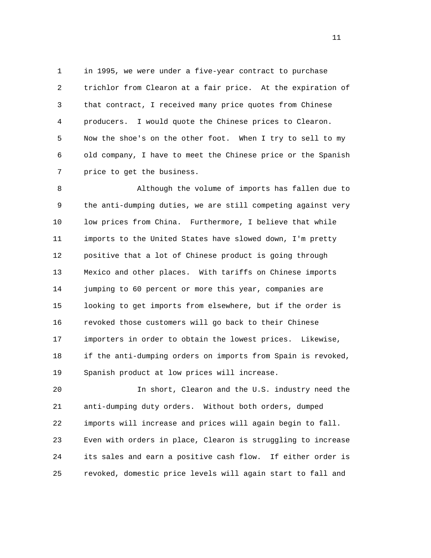1 in 1995, we were under a five-year contract to purchase 2 trichlor from Clearon at a fair price. At the expiration of 3 that contract, I received many price quotes from Chinese 4 producers. I would quote the Chinese prices to Clearon. 5 Now the shoe's on the other foot. When I try to sell to my 6 old company, I have to meet the Chinese price or the Spanish 7 price to get the business.

 8 Although the volume of imports has fallen due to 9 the anti-dumping duties, we are still competing against very 10 low prices from China. Furthermore, I believe that while 11 imports to the United States have slowed down, I'm pretty 12 positive that a lot of Chinese product is going through 13 Mexico and other places. With tariffs on Chinese imports 14 jumping to 60 percent or more this year, companies are 15 looking to get imports from elsewhere, but if the order is 16 revoked those customers will go back to their Chinese 17 importers in order to obtain the lowest prices. Likewise, 18 if the anti-dumping orders on imports from Spain is revoked, 19 Spanish product at low prices will increase.

 20 In short, Clearon and the U.S. industry need the 21 anti-dumping duty orders. Without both orders, dumped 22 imports will increase and prices will again begin to fall. 23 Even with orders in place, Clearon is struggling to increase 24 its sales and earn a positive cash flow. If either order is 25 revoked, domestic price levels will again start to fall and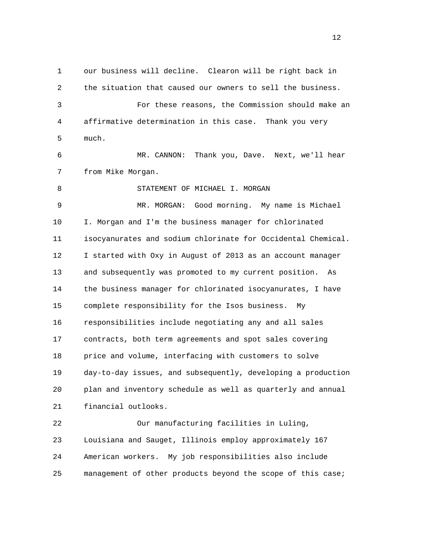1 our business will decline. Clearon will be right back in 2 the situation that caused our owners to sell the business. 3 For these reasons, the Commission should make an 4 affirmative determination in this case. Thank you very 5 much. 6 MR. CANNON: Thank you, Dave. Next, we'll hear 7 from Mike Morgan. 8 STATEMENT OF MICHAEL I. MORGAN 9 MR. MORGAN: Good morning. My name is Michael 10 I. Morgan and I'm the business manager for chlorinated 11 isocyanurates and sodium chlorinate for Occidental Chemical. 12 I started with Oxy in August of 2013 as an account manager 13 and subsequently was promoted to my current position. As 14 the business manager for chlorinated isocyanurates, I have 15 complete responsibility for the Isos business. My 16 responsibilities include negotiating any and all sales 17 contracts, both term agreements and spot sales covering 18 price and volume, interfacing with customers to solve 19 day-to-day issues, and subsequently, developing a production 20 plan and inventory schedule as well as quarterly and annual 21 financial outlooks. 22 Our manufacturing facilities in Luling, 23 Louisiana and Sauget, Illinois employ approximately 167

24 American workers. My job responsibilities also include

25 management of other products beyond the scope of this case;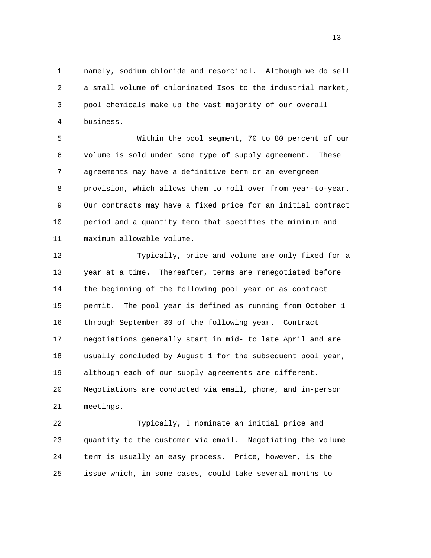1 namely, sodium chloride and resorcinol. Although we do sell 2 a small volume of chlorinated Isos to the industrial market, 3 pool chemicals make up the vast majority of our overall 4 business.

 5 Within the pool segment, 70 to 80 percent of our 6 volume is sold under some type of supply agreement. These 7 agreements may have a definitive term or an evergreen 8 provision, which allows them to roll over from year-to-year. 9 Our contracts may have a fixed price for an initial contract 10 period and a quantity term that specifies the minimum and 11 maximum allowable volume.

 12 Typically, price and volume are only fixed for a 13 year at a time. Thereafter, terms are renegotiated before 14 the beginning of the following pool year or as contract 15 permit. The pool year is defined as running from October 1 16 through September 30 of the following year. Contract 17 negotiations generally start in mid- to late April and are 18 usually concluded by August 1 for the subsequent pool year, 19 although each of our supply agreements are different. 20 Negotiations are conducted via email, phone, and in-person 21 meetings.

 22 Typically, I nominate an initial price and 23 quantity to the customer via email. Negotiating the volume 24 term is usually an easy process. Price, however, is the 25 issue which, in some cases, could take several months to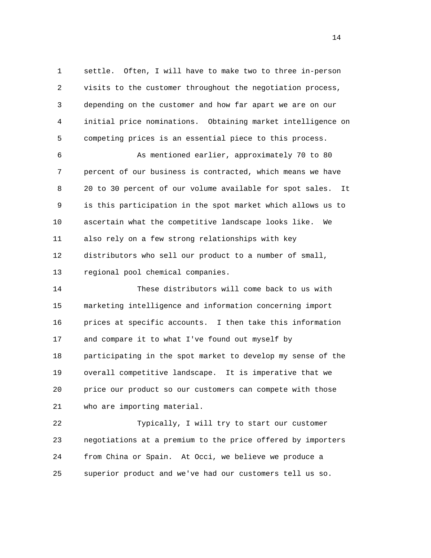1 settle. Often, I will have to make two to three in-person 2 visits to the customer throughout the negotiation process, 3 depending on the customer and how far apart we are on our 4 initial price nominations. Obtaining market intelligence on 5 competing prices is an essential piece to this process.

 6 As mentioned earlier, approximately 70 to 80 7 percent of our business is contracted, which means we have 8 20 to 30 percent of our volume available for spot sales. It 9 is this participation in the spot market which allows us to 10 ascertain what the competitive landscape looks like. We 11 also rely on a few strong relationships with key 12 distributors who sell our product to a number of small, 13 regional pool chemical companies.

 14 These distributors will come back to us with 15 marketing intelligence and information concerning import 16 prices at specific accounts. I then take this information 17 and compare it to what I've found out myself by 18 participating in the spot market to develop my sense of the 19 overall competitive landscape. It is imperative that we 20 price our product so our customers can compete with those 21 who are importing material.

 22 Typically, I will try to start our customer 23 negotiations at a premium to the price offered by importers 24 from China or Spain. At Occi, we believe we produce a 25 superior product and we've had our customers tell us so.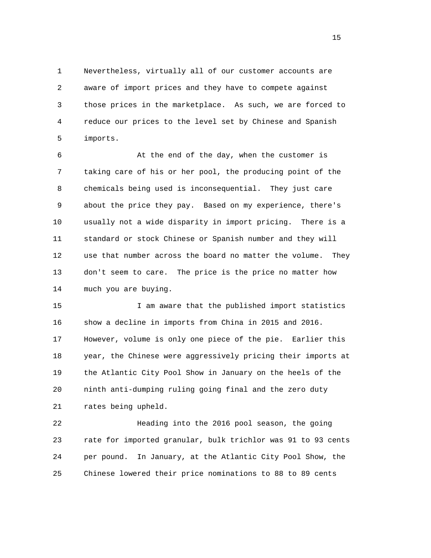1 Nevertheless, virtually all of our customer accounts are 2 aware of import prices and they have to compete against 3 those prices in the marketplace. As such, we are forced to 4 reduce our prices to the level set by Chinese and Spanish 5 imports.

 6 At the end of the day, when the customer is 7 taking care of his or her pool, the producing point of the 8 chemicals being used is inconsequential. They just care 9 about the price they pay. Based on my experience, there's 10 usually not a wide disparity in import pricing. There is a 11 standard or stock Chinese or Spanish number and they will 12 use that number across the board no matter the volume. They 13 don't seem to care. The price is the price no matter how 14 much you are buying.

 15 I am aware that the published import statistics 16 show a decline in imports from China in 2015 and 2016. 17 However, volume is only one piece of the pie. Earlier this 18 year, the Chinese were aggressively pricing their imports at 19 the Atlantic City Pool Show in January on the heels of the 20 ninth anti-dumping ruling going final and the zero duty 21 rates being upheld.

 22 Heading into the 2016 pool season, the going 23 rate for imported granular, bulk trichlor was 91 to 93 cents 24 per pound. In January, at the Atlantic City Pool Show, the 25 Chinese lowered their price nominations to 88 to 89 cents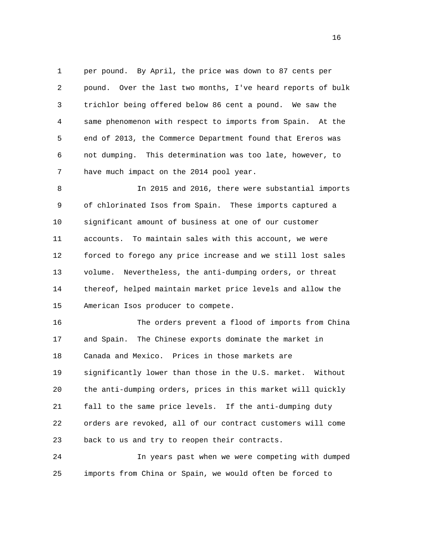1 per pound. By April, the price was down to 87 cents per 2 pound. Over the last two months, I've heard reports of bulk 3 trichlor being offered below 86 cent a pound. We saw the 4 same phenomenon with respect to imports from Spain. At the 5 end of 2013, the Commerce Department found that Ereros was 6 not dumping. This determination was too late, however, to 7 have much impact on the 2014 pool year.

 8 In 2015 and 2016, there were substantial imports 9 of chlorinated Isos from Spain. These imports captured a 10 significant amount of business at one of our customer 11 accounts. To maintain sales with this account, we were 12 forced to forego any price increase and we still lost sales 13 volume. Nevertheless, the anti-dumping orders, or threat 14 thereof, helped maintain market price levels and allow the 15 American Isos producer to compete.

 16 The orders prevent a flood of imports from China 17 and Spain. The Chinese exports dominate the market in 18 Canada and Mexico. Prices in those markets are 19 significantly lower than those in the U.S. market. Without 20 the anti-dumping orders, prices in this market will quickly 21 fall to the same price levels. If the anti-dumping duty 22 orders are revoked, all of our contract customers will come 23 back to us and try to reopen their contracts.

 24 In years past when we were competing with dumped 25 imports from China or Spain, we would often be forced to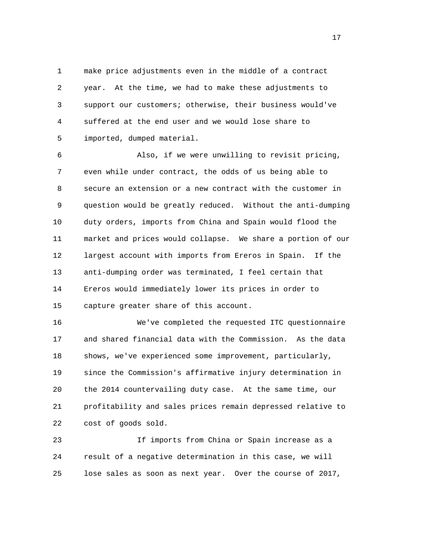1 make price adjustments even in the middle of a contract 2 year. At the time, we had to make these adjustments to 3 support our customers; otherwise, their business would've 4 suffered at the end user and we would lose share to 5 imported, dumped material.

 6 Also, if we were unwilling to revisit pricing, 7 even while under contract, the odds of us being able to 8 secure an extension or a new contract with the customer in 9 question would be greatly reduced. Without the anti-dumping 10 duty orders, imports from China and Spain would flood the 11 market and prices would collapse. We share a portion of our 12 largest account with imports from Ereros in Spain. If the 13 anti-dumping order was terminated, I feel certain that 14 Ereros would immediately lower its prices in order to 15 capture greater share of this account.

 16 We've completed the requested ITC questionnaire 17 and shared financial data with the Commission. As the data 18 shows, we've experienced some improvement, particularly, 19 since the Commission's affirmative injury determination in 20 the 2014 countervailing duty case. At the same time, our 21 profitability and sales prices remain depressed relative to 22 cost of goods sold.

 23 If imports from China or Spain increase as a 24 result of a negative determination in this case, we will 25 lose sales as soon as next year. Over the course of 2017,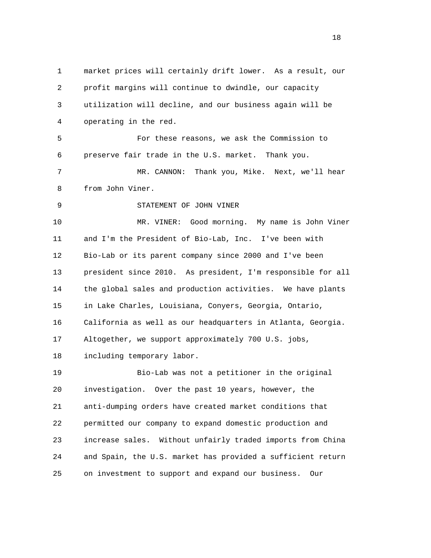1 market prices will certainly drift lower. As a result, our 2 profit margins will continue to dwindle, our capacity 3 utilization will decline, and our business again will be 4 operating in the red. 5 For these reasons, we ask the Commission to 6 preserve fair trade in the U.S. market. Thank you. 7 MR. CANNON: Thank you, Mike. Next, we'll hear 8 from John Viner. 9 STATEMENT OF JOHN VINER 10 MR. VINER: Good morning. My name is John Viner 11 and I'm the President of Bio-Lab, Inc. I've been with 12 Bio-Lab or its parent company since 2000 and I've been 13 president since 2010. As president, I'm responsible for all 14 the global sales and production activities. We have plants 15 in Lake Charles, Louisiana, Conyers, Georgia, Ontario, 16 California as well as our headquarters in Atlanta, Georgia. 17 Altogether, we support approximately 700 U.S. jobs, 18 including temporary labor. 19 Bio-Lab was not a petitioner in the original 20 investigation. Over the past 10 years, however, the 21 anti-dumping orders have created market conditions that 22 permitted our company to expand domestic production and 23 increase sales. Without unfairly traded imports from China 24 and Spain, the U.S. market has provided a sufficient return 25 on investment to support and expand our business. Our

n 18 ann an 18 an t-Iomraid ann an 18 an t-Iomraid ann an 18 an t-Iomraid ann an 18 an t-Iomraid ann an 18 an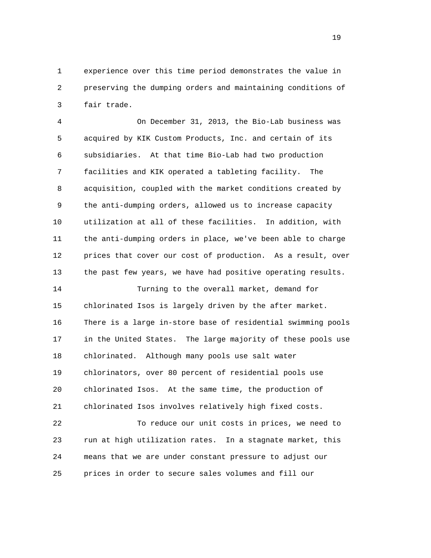1 experience over this time period demonstrates the value in 2 preserving the dumping orders and maintaining conditions of 3 fair trade.

 4 On December 31, 2013, the Bio-Lab business was 5 acquired by KIK Custom Products, Inc. and certain of its 6 subsidiaries. At that time Bio-Lab had two production 7 facilities and KIK operated a tableting facility. The 8 acquisition, coupled with the market conditions created by 9 the anti-dumping orders, allowed us to increase capacity 10 utilization at all of these facilities. In addition, with 11 the anti-dumping orders in place, we've been able to charge 12 prices that cover our cost of production. As a result, over 13 the past few years, we have had positive operating results.

 14 Turning to the overall market, demand for 15 chlorinated Isos is largely driven by the after market. 16 There is a large in-store base of residential swimming pools 17 in the United States. The large majority of these pools use 18 chlorinated. Although many pools use salt water 19 chlorinators, over 80 percent of residential pools use 20 chlorinated Isos. At the same time, the production of 21 chlorinated Isos involves relatively high fixed costs.

 22 To reduce our unit costs in prices, we need to 23 run at high utilization rates. In a stagnate market, this 24 means that we are under constant pressure to adjust our 25 prices in order to secure sales volumes and fill our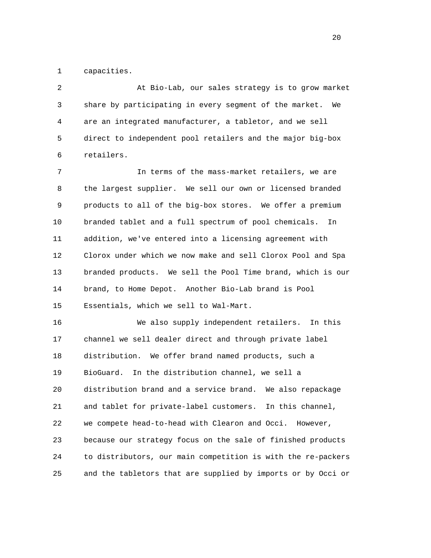1 capacities.

 2 At Bio-Lab, our sales strategy is to grow market 3 share by participating in every segment of the market. We 4 are an integrated manufacturer, a tabletor, and we sell 5 direct to independent pool retailers and the major big-box 6 retailers.

 7 In terms of the mass-market retailers, we are 8 the largest supplier. We sell our own or licensed branded 9 products to all of the big-box stores. We offer a premium 10 branded tablet and a full spectrum of pool chemicals. In 11 addition, we've entered into a licensing agreement with 12 Clorox under which we now make and sell Clorox Pool and Spa 13 branded products. We sell the Pool Time brand, which is our 14 brand, to Home Depot. Another Bio-Lab brand is Pool 15 Essentials, which we sell to Wal-Mart.

 16 We also supply independent retailers. In this 17 channel we sell dealer direct and through private label 18 distribution. We offer brand named products, such a 19 BioGuard. In the distribution channel, we sell a 20 distribution brand and a service brand. We also repackage 21 and tablet for private-label customers. In this channel, 22 we compete head-to-head with Clearon and Occi. However, 23 because our strategy focus on the sale of finished products 24 to distributors, our main competition is with the re-packers 25 and the tabletors that are supplied by imports or by Occi or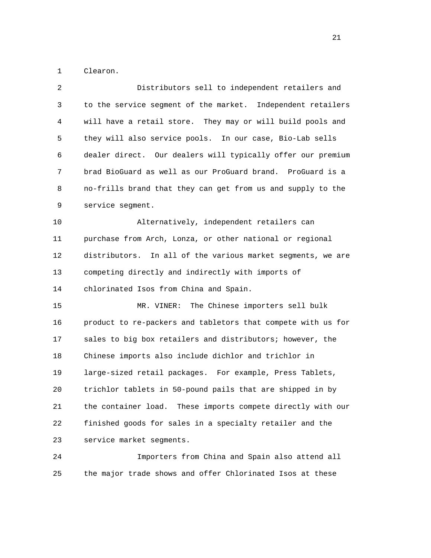1 Clearon.

| $\overline{2}$ | Distributors sell to independent retailers and               |
|----------------|--------------------------------------------------------------|
| 3              | to the service segment of the market. Independent retailers  |
| 4              | will have a retail store. They may or will build pools and   |
| 5              | they will also service pools. In our case, Bio-Lab sells     |
| 6              | dealer direct. Our dealers will typically offer our premium  |
| 7              | brad BioGuard as well as our ProGuard brand. ProGuard is a   |
| 8              | no-frills brand that they can get from us and supply to the  |
| 9              | service segment.                                             |
| 10             | Alternatively, independent retailers can                     |
| 11             | purchase from Arch, Lonza, or other national or regional     |
| 12             | distributors. In all of the various market segments, we are  |
| 13             | competing directly and indirectly with imports of            |
| 14             | chlorinated Isos from China and Spain.                       |
| 15             | MR. VINER: The Chinese importers sell bulk                   |
| 16             | product to re-packers and tabletors that compete with us for |
| 17             | sales to big box retailers and distributors; however, the    |
| 18             | Chinese imports also include dichlor and trichlor in         |
| 19             | large-sized retail packages. For example, Press Tablets,     |
| 20             | trichlor tablets in 50-pound pails that are shipped in by    |
| 21             | the container load. These imports compete directly with our  |
| 22             | finished goods for sales in a specialty retailer and the     |
| 23             | service market segments.                                     |
|                |                                                              |

 24 Importers from China and Spain also attend all 25 the major trade shows and offer Chlorinated Isos at these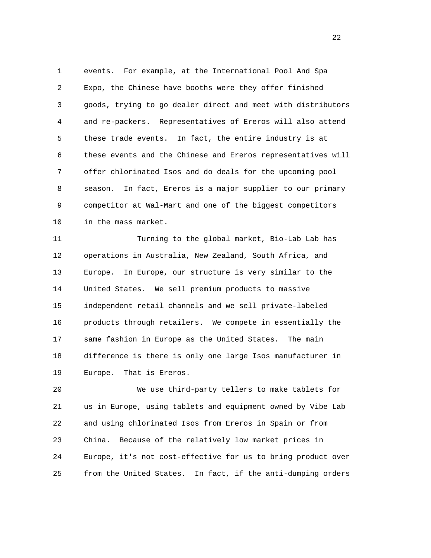1 events. For example, at the International Pool And Spa 2 Expo, the Chinese have booths were they offer finished 3 goods, trying to go dealer direct and meet with distributors 4 and re-packers. Representatives of Ereros will also attend 5 these trade events. In fact, the entire industry is at 6 these events and the Chinese and Ereros representatives will 7 offer chlorinated Isos and do deals for the upcoming pool 8 season. In fact, Ereros is a major supplier to our primary 9 competitor at Wal-Mart and one of the biggest competitors 10 in the mass market.

 11 Turning to the global market, Bio-Lab Lab has 12 operations in Australia, New Zealand, South Africa, and 13 Europe. In Europe, our structure is very similar to the 14 United States. We sell premium products to massive 15 independent retail channels and we sell private-labeled 16 products through retailers. We compete in essentially the 17 same fashion in Europe as the United States. The main 18 difference is there is only one large Isos manufacturer in 19 Europe. That is Ereros.

 20 We use third-party tellers to make tablets for 21 us in Europe, using tablets and equipment owned by Vibe Lab 22 and using chlorinated Isos from Ereros in Spain or from 23 China. Because of the relatively low market prices in 24 Europe, it's not cost-effective for us to bring product over 25 from the United States. In fact, if the anti-dumping orders

22 a set of the state of the state of the state of the state of the state of the state of the state of the state of the state of the state of the state of the state of the state of the state of the state of the state of th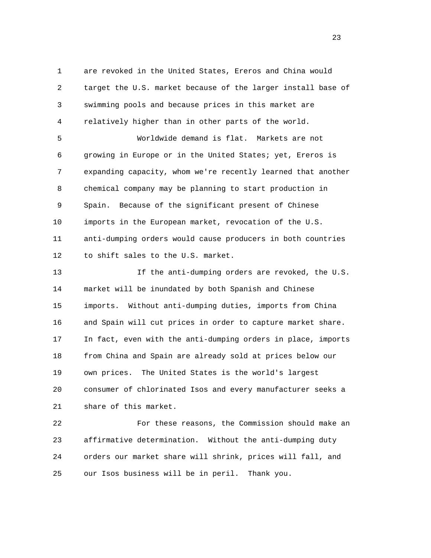1 are revoked in the United States, Ereros and China would 2 target the U.S. market because of the larger install base of 3 swimming pools and because prices in this market are 4 relatively higher than in other parts of the world.

 5 Worldwide demand is flat. Markets are not 6 growing in Europe or in the United States; yet, Ereros is 7 expanding capacity, whom we're recently learned that another 8 chemical company may be planning to start production in 9 Spain. Because of the significant present of Chinese 10 imports in the European market, revocation of the U.S. 11 anti-dumping orders would cause producers in both countries 12 to shift sales to the U.S. market.

 13 If the anti-dumping orders are revoked, the U.S. 14 market will be inundated by both Spanish and Chinese 15 imports. Without anti-dumping duties, imports from China 16 and Spain will cut prices in order to capture market share. 17 In fact, even with the anti-dumping orders in place, imports 18 from China and Spain are already sold at prices below our 19 own prices. The United States is the world's largest 20 consumer of chlorinated Isos and every manufacturer seeks a 21 share of this market.

 22 For these reasons, the Commission should make an 23 affirmative determination. Without the anti-dumping duty 24 orders our market share will shrink, prices will fall, and 25 our Isos business will be in peril. Thank you.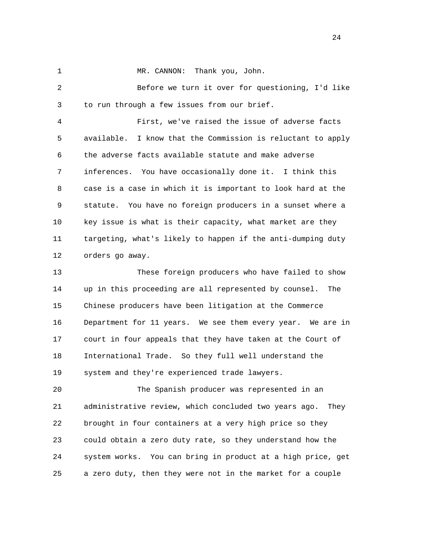1 MR. CANNON: Thank you, John.

 2 Before we turn it over for questioning, I'd like 3 to run through a few issues from our brief.

 4 First, we've raised the issue of adverse facts 5 available. I know that the Commission is reluctant to apply 6 the adverse facts available statute and make adverse 7 inferences. You have occasionally done it. I think this 8 case is a case in which it is important to look hard at the 9 statute. You have no foreign producers in a sunset where a 10 key issue is what is their capacity, what market are they 11 targeting, what's likely to happen if the anti-dumping duty 12 orders go away.

 13 These foreign producers who have failed to show 14 up in this proceeding are all represented by counsel. The 15 Chinese producers have been litigation at the Commerce 16 Department for 11 years. We see them every year. We are in 17 court in four appeals that they have taken at the Court of 18 International Trade. So they full well understand the 19 system and they're experienced trade lawyers.

 20 The Spanish producer was represented in an 21 administrative review, which concluded two years ago. They 22 brought in four containers at a very high price so they 23 could obtain a zero duty rate, so they understand how the 24 system works. You can bring in product at a high price, get 25 a zero duty, then they were not in the market for a couple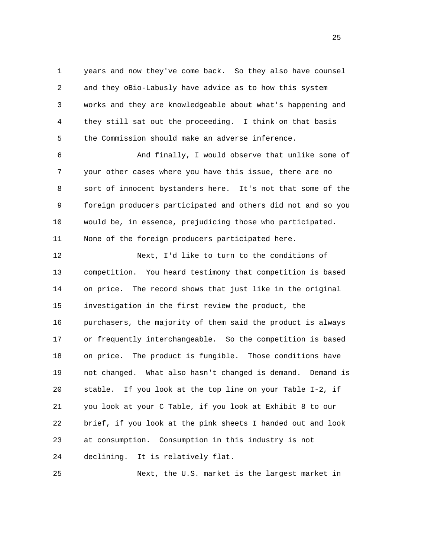1 years and now they've come back. So they also have counsel 2 and they oBio-Labusly have advice as to how this system 3 works and they are knowledgeable about what's happening and 4 they still sat out the proceeding. I think on that basis 5 the Commission should make an adverse inference.

 6 And finally, I would observe that unlike some of 7 your other cases where you have this issue, there are no 8 sort of innocent bystanders here. It's not that some of the 9 foreign producers participated and others did not and so you 10 would be, in essence, prejudicing those who participated. 11 None of the foreign producers participated here.

 12 Next, I'd like to turn to the conditions of 13 competition. You heard testimony that competition is based 14 on price. The record shows that just like in the original 15 investigation in the first review the product, the 16 purchasers, the majority of them said the product is always 17 or frequently interchangeable. So the competition is based 18 on price. The product is fungible. Those conditions have 19 not changed. What also hasn't changed is demand. Demand is 20 stable. If you look at the top line on your Table I-2, if 21 you look at your C Table, if you look at Exhibit 8 to our 22 brief, if you look at the pink sheets I handed out and look 23 at consumption. Consumption in this industry is not 24 declining. It is relatively flat.

25 Next, the U.S. market is the largest market in

25 and 25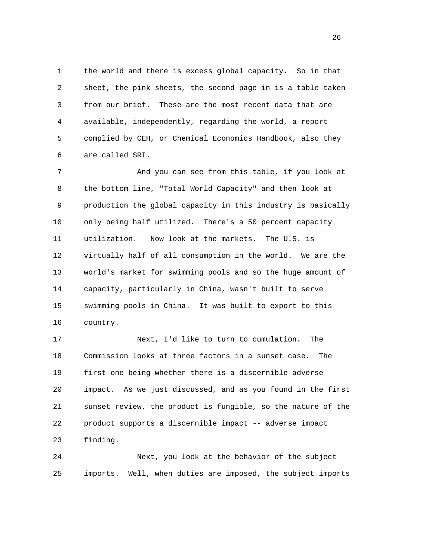1 the world and there is excess global capacity. So in that 2 sheet, the pink sheets, the second page in is a table taken 3 from our brief. These are the most recent data that are 4 available, independently, regarding the world, a report 5 complied by CEH, or Chemical Economics Handbook, also they 6 are called SRI.

 7 And you can see from this table, if you look at 8 the bottom line, "Total World Capacity" and then look at 9 production the global capacity in this industry is basically 10 only being half utilized. There's a 50 percent capacity 11 utilization. Now look at the markets. The U.S. is 12 virtually half of all consumption in the world. We are the 13 world's market for swimming pools and so the huge amount of 14 capacity, particularly in China, wasn't built to serve 15 swimming pools in China. It was built to export to this 16 country.

 17 Next, I'd like to turn to cumulation. The 18 Commission looks at three factors in a sunset case. The 19 first one being whether there is a discernible adverse 20 impact. As we just discussed, and as you found in the first 21 sunset review, the product is fungible, so the nature of the 22 product supports a discernible impact -- adverse impact 23 finding.

 24 Next, you look at the behavior of the subject 25 imports. Well, when duties are imposed, the subject imports

<u>26</u>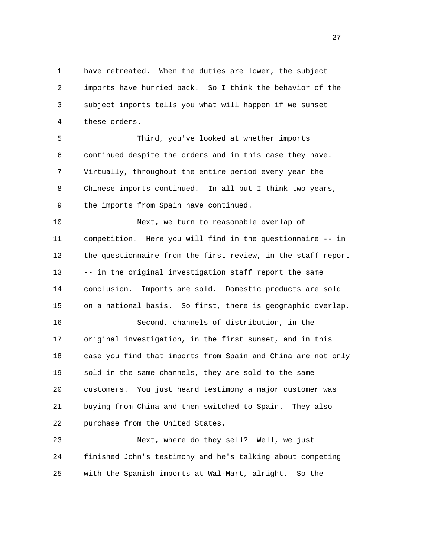1 have retreated. When the duties are lower, the subject 2 imports have hurried back. So I think the behavior of the 3 subject imports tells you what will happen if we sunset 4 these orders.

 5 Third, you've looked at whether imports 6 continued despite the orders and in this case they have. 7 Virtually, throughout the entire period every year the 8 Chinese imports continued. In all but I think two years, 9 the imports from Spain have continued.

 10 Next, we turn to reasonable overlap of 11 competition. Here you will find in the questionnaire -- in 12 the questionnaire from the first review, in the staff report 13 -- in the original investigation staff report the same 14 conclusion. Imports are sold. Domestic products are sold 15 on a national basis. So first, there is geographic overlap. 16 Second, channels of distribution, in the 17 original investigation, in the first sunset, and in this 18 case you find that imports from Spain and China are not only 19 sold in the same channels, they are sold to the same 20 customers. You just heard testimony a major customer was 21 buying from China and then switched to Spain. They also

22 purchase from the United States.

 23 Next, where do they sell? Well, we just 24 finished John's testimony and he's talking about competing 25 with the Spanish imports at Wal-Mart, alright. So the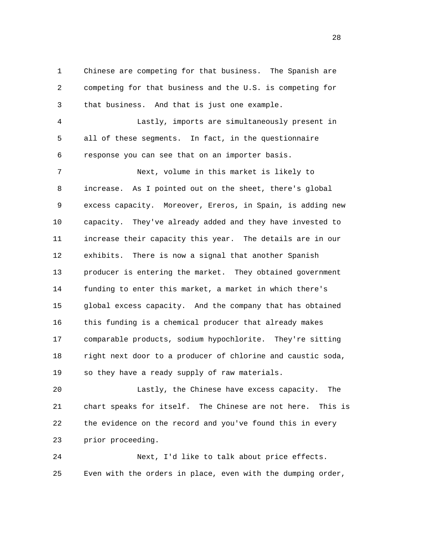1 Chinese are competing for that business. The Spanish are 2 competing for that business and the U.S. is competing for 3 that business. And that is just one example.

 4 Lastly, imports are simultaneously present in 5 all of these segments. In fact, in the questionnaire 6 response you can see that on an importer basis.

 7 Next, volume in this market is likely to 8 increase. As I pointed out on the sheet, there's global 9 excess capacity. Moreover, Ereros, in Spain, is adding new 10 capacity. They've already added and they have invested to 11 increase their capacity this year. The details are in our 12 exhibits. There is now a signal that another Spanish 13 producer is entering the market. They obtained government 14 funding to enter this market, a market in which there's 15 global excess capacity. And the company that has obtained 16 this funding is a chemical producer that already makes 17 comparable products, sodium hypochlorite. They're sitting 18 right next door to a producer of chlorine and caustic soda, 19 so they have a ready supply of raw materials.

 20 Lastly, the Chinese have excess capacity. The 21 chart speaks for itself. The Chinese are not here. This is 22 the evidence on the record and you've found this in every 23 prior proceeding.

 24 Next, I'd like to talk about price effects. 25 Even with the orders in place, even with the dumping order,

28 and 28 and 28 and 28 and 28 and 28 and 28 and 28 and 28 and 28 and 28 and 28 and 28 and 28 and 28 and 28 and 28 and 28 and 28 and 28 and 28 and 28 and 28 and 28 and 28 and 28 and 28 and 28 and 28 and 28 and 28 and 28 an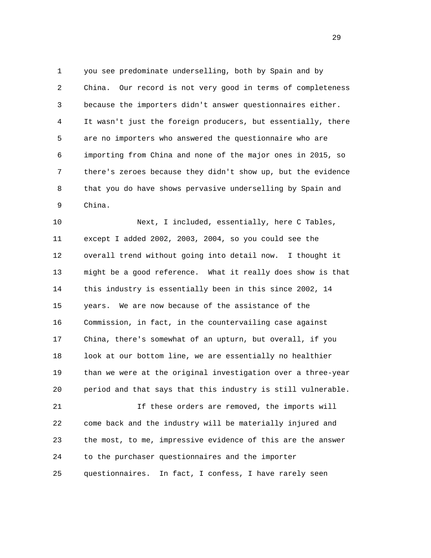1 you see predominate underselling, both by Spain and by 2 China. Our record is not very good in terms of completeness 3 because the importers didn't answer questionnaires either. 4 It wasn't just the foreign producers, but essentially, there 5 are no importers who answered the questionnaire who are 6 importing from China and none of the major ones in 2015, so 7 there's zeroes because they didn't show up, but the evidence 8 that you do have shows pervasive underselling by Spain and 9 China.

 10 Next, I included, essentially, here C Tables, 11 except I added 2002, 2003, 2004, so you could see the 12 overall trend without going into detail now. I thought it 13 might be a good reference. What it really does show is that 14 this industry is essentially been in this since 2002, 14 15 years. We are now because of the assistance of the 16 Commission, in fact, in the countervailing case against 17 China, there's somewhat of an upturn, but overall, if you 18 look at our bottom line, we are essentially no healthier 19 than we were at the original investigation over a three-year 20 period and that says that this industry is still vulnerable.

 21 If these orders are removed, the imports will 22 come back and the industry will be materially injured and 23 the most, to me, impressive evidence of this are the answer 24 to the purchaser questionnaires and the importer 25 questionnaires. In fact, I confess, I have rarely seen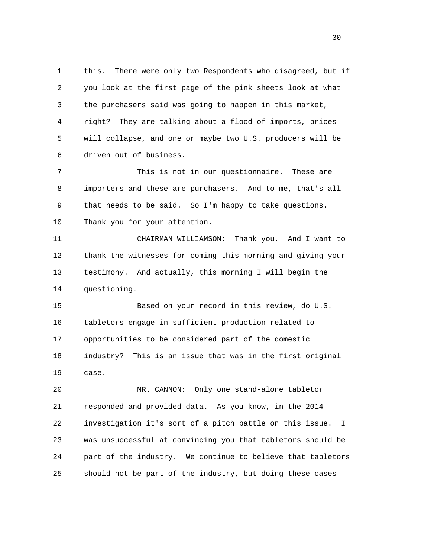1 this. There were only two Respondents who disagreed, but if 2 you look at the first page of the pink sheets look at what 3 the purchasers said was going to happen in this market, 4 right? They are talking about a flood of imports, prices 5 will collapse, and one or maybe two U.S. producers will be 6 driven out of business.

 7 This is not in our questionnaire. These are 8 importers and these are purchasers. And to me, that's all 9 that needs to be said. So I'm happy to take questions. 10 Thank you for your attention.

 11 CHAIRMAN WILLIAMSON: Thank you. And I want to 12 thank the witnesses for coming this morning and giving your 13 testimony. And actually, this morning I will begin the 14 questioning.

 15 Based on your record in this review, do U.S. 16 tabletors engage in sufficient production related to 17 opportunities to be considered part of the domestic 18 industry? This is an issue that was in the first original 19 case.

 20 MR. CANNON: Only one stand-alone tabletor 21 responded and provided data. As you know, in the 2014 22 investigation it's sort of a pitch battle on this issue. I 23 was unsuccessful at convincing you that tabletors should be 24 part of the industry. We continue to believe that tabletors 25 should not be part of the industry, but doing these cases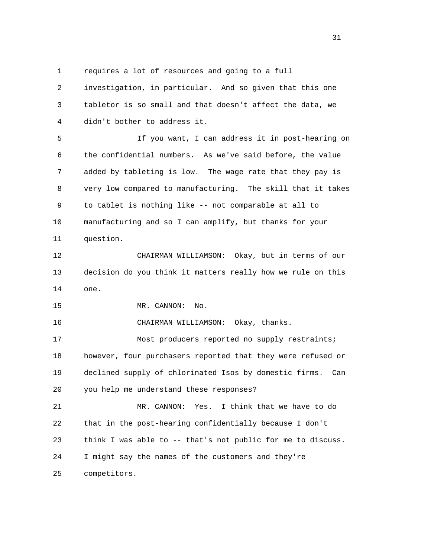1 requires a lot of resources and going to a full

 2 investigation, in particular. And so given that this one 3 tabletor is so small and that doesn't affect the data, we 4 didn't bother to address it.

 5 If you want, I can address it in post-hearing on 6 the confidential numbers. As we've said before, the value 7 added by tableting is low. The wage rate that they pay is 8 very low compared to manufacturing. The skill that it takes 9 to tablet is nothing like -- not comparable at all to 10 manufacturing and so I can amplify, but thanks for your 11 question.

 12 CHAIRMAN WILLIAMSON: Okay, but in terms of our 13 decision do you think it matters really how we rule on this 14 one.

15 MR. CANNON: No.

16 CHAIRMAN WILLIAMSON: Okay, thanks.

17 Most producers reported no supply restraints; 18 however, four purchasers reported that they were refused or 19 declined supply of chlorinated Isos by domestic firms. Can 20 you help me understand these responses?

 21 MR. CANNON: Yes. I think that we have to do 22 that in the post-hearing confidentially because I don't 23 think I was able to -- that's not public for me to discuss. 24 I might say the names of the customers and they're 25 competitors.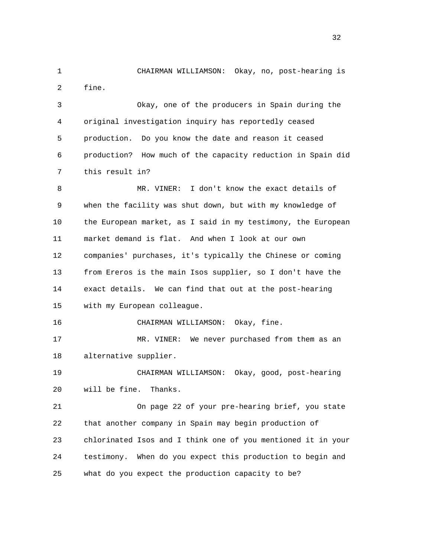1 CHAIRMAN WILLIAMSON: Okay, no, post-hearing is 2 fine. 3 Okay, one of the producers in Spain during the 4 original investigation inquiry has reportedly ceased 5 production. Do you know the date and reason it ceased 6 production? How much of the capacity reduction in Spain did 7 this result in? 8 MR. VINER: I don't know the exact details of 9 when the facility was shut down, but with my knowledge of 10 the European market, as I said in my testimony, the European 11 market demand is flat. And when I look at our own 12 companies' purchases, it's typically the Chinese or coming 13 from Ereros is the main Isos supplier, so I don't have the 14 exact details. We can find that out at the post-hearing 15 with my European colleague. 16 CHAIRMAN WILLIAMSON: Okay, fine. 17 MR. VINER: We never purchased from them as an 18 alternative supplier. 19 CHAIRMAN WILLIAMSON: Okay, good, post-hearing 20 will be fine. Thanks. 21 On page 22 of your pre-hearing brief, you state 22 that another company in Spain may begin production of 23 chlorinated Isos and I think one of you mentioned it in your 24 testimony. When do you expect this production to begin and 25 what do you expect the production capacity to be?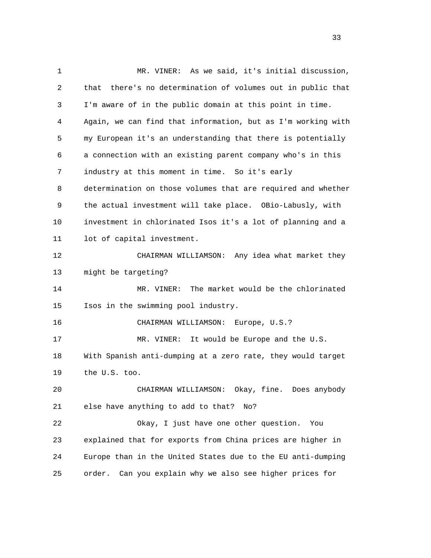1 MR. VINER: As we said, it's initial discussion, 2 that there's no determination of volumes out in public that 3 I'm aware of in the public domain at this point in time. 4 Again, we can find that information, but as I'm working with 5 my European it's an understanding that there is potentially 6 a connection with an existing parent company who's in this 7 industry at this moment in time. So it's early 8 determination on those volumes that are required and whether 9 the actual investment will take place. OBio-Labusly, with 10 investment in chlorinated Isos it's a lot of planning and a 11 lot of capital investment. 12 CHAIRMAN WILLIAMSON: Any idea what market they 13 might be targeting? 14 MR. VINER: The market would be the chlorinated 15 Isos in the swimming pool industry. 16 CHAIRMAN WILLIAMSON: Europe, U.S.? 17 MR. VINER: It would be Europe and the U.S. 18 With Spanish anti-dumping at a zero rate, they would target 19 the U.S. too. 20 CHAIRMAN WILLIAMSON: Okay, fine. Does anybody 21 else have anything to add to that? No? 22 Okay, I just have one other question. You 23 explained that for exports from China prices are higher in 24 Europe than in the United States due to the EU anti-dumping 25 order. Can you explain why we also see higher prices for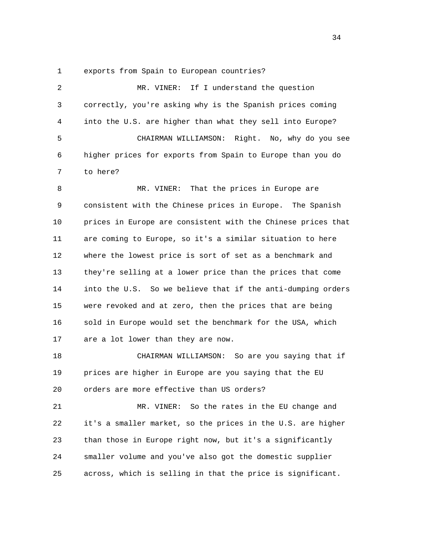1 exports from Spain to European countries?

| 2  | If I understand the question<br>MR. VINER:                   |
|----|--------------------------------------------------------------|
| 3  | correctly, you're asking why is the Spanish prices coming    |
| 4  | into the U.S. are higher than what they sell into Europe?    |
| 5  | CHAIRMAN WILLIAMSON: Right. No, why do you see               |
| 6  | higher prices for exports from Spain to Europe than you do   |
| 7  | to here?                                                     |
| 8  | That the prices in Europe are<br>MR. VINER:                  |
| 9  | consistent with the Chinese prices in Europe. The Spanish    |
| 10 | prices in Europe are consistent with the Chinese prices that |
| 11 | are coming to Europe, so it's a similar situation to here    |
| 12 | where the lowest price is sort of set as a benchmark and     |
| 13 | they're selling at a lower price than the prices that come   |
| 14 | into the U.S. So we believe that if the anti-dumping orders  |
| 15 | were revoked and at zero, then the prices that are being     |
| 16 | sold in Europe would set the benchmark for the USA, which    |
| 17 | are a lot lower than they are now.                           |
| 18 | CHAIRMAN WILLIAMSON: So are you saying that if               |
| 19 | prices are higher in Europe are you saying that the EU       |
| 20 | orders are more effective than US orders?                    |
| 21 | MR. VINER: So the rates in the EU change and                 |
| 22 | it's a smaller market, so the prices in the U.S. are higher  |
| 23 | than those in Europe right now, but it's a significantly     |
| 24 | smaller volume and you've also got the domestic supplier     |
| 25 | across, which is selling in that the price is significant.   |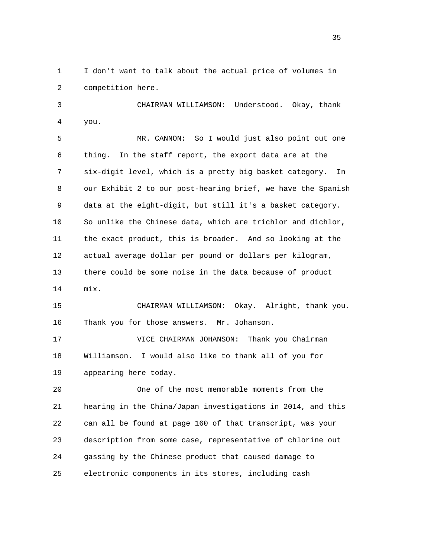1 I don't want to talk about the actual price of volumes in 2 competition here.

 3 CHAIRMAN WILLIAMSON: Understood. Okay, thank 4 you.

 5 MR. CANNON: So I would just also point out one 6 thing. In the staff report, the export data are at the 7 six-digit level, which is a pretty big basket category. In 8 our Exhibit 2 to our post-hearing brief, we have the Spanish 9 data at the eight-digit, but still it's a basket category. 10 So unlike the Chinese data, which are trichlor and dichlor, 11 the exact product, this is broader. And so looking at the 12 actual average dollar per pound or dollars per kilogram, 13 there could be some noise in the data because of product 14 mix.

 15 CHAIRMAN WILLIAMSON: Okay. Alright, thank you. 16 Thank you for those answers. Mr. Johanson.

 17 VICE CHAIRMAN JOHANSON: Thank you Chairman 18 Williamson. I would also like to thank all of you for 19 appearing here today.

 20 One of the most memorable moments from the 21 hearing in the China/Japan investigations in 2014, and this 22 can all be found at page 160 of that transcript, was your 23 description from some case, representative of chlorine out 24 gassing by the Chinese product that caused damage to 25 electronic components in its stores, including cash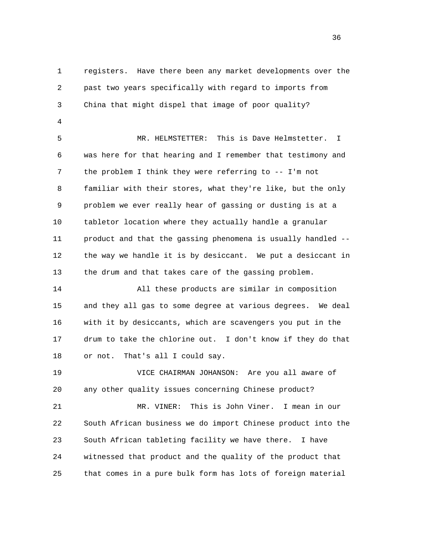1 registers. Have there been any market developments over the 2 past two years specifically with regard to imports from 3 China that might dispel that image of poor quality?

4

 5 MR. HELMSTETTER: This is Dave Helmstetter. I 6 was here for that hearing and I remember that testimony and 7 the problem I think they were referring to -- I'm not 8 familiar with their stores, what they're like, but the only 9 problem we ever really hear of gassing or dusting is at a 10 tabletor location where they actually handle a granular 11 product and that the gassing phenomena is usually handled -- 12 the way we handle it is by desiccant. We put a desiccant in 13 the drum and that takes care of the gassing problem.

 14 All these products are similar in composition 15 and they all gas to some degree at various degrees. We deal 16 with it by desiccants, which are scavengers you put in the 17 drum to take the chlorine out. I don't know if they do that 18 or not. That's all I could say.

 19 VICE CHAIRMAN JOHANSON: Are you all aware of 20 any other quality issues concerning Chinese product?

 21 MR. VINER: This is John Viner. I mean in our 22 South African business we do import Chinese product into the 23 South African tableting facility we have there. I have 24 witnessed that product and the quality of the product that 25 that comes in a pure bulk form has lots of foreign material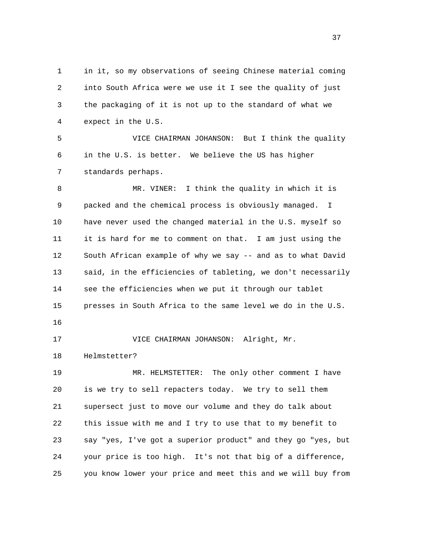1 in it, so my observations of seeing Chinese material coming 2 into South Africa were we use it I see the quality of just 3 the packaging of it is not up to the standard of what we 4 expect in the U.S. 5 VICE CHAIRMAN JOHANSON: But I think the quality 6 in the U.S. is better. We believe the US has higher 7 standards perhaps. 8 MR. VINER: I think the quality in which it is 9 packed and the chemical process is obviously managed. I

 10 have never used the changed material in the U.S. myself so 11 it is hard for me to comment on that. I am just using the 12 South African example of why we say -- and as to what David 13 said, in the efficiencies of tableting, we don't necessarily 14 see the efficiencies when we put it through our tablet 15 presses in South Africa to the same level we do in the U.S.

16

17 VICE CHAIRMAN JOHANSON: Alright, Mr.

18 Helmstetter?

 19 MR. HELMSTETTER: The only other comment I have 20 is we try to sell repacters today. We try to sell them 21 supersect just to move our volume and they do talk about 22 this issue with me and I try to use that to my benefit to 23 say "yes, I've got a superior product" and they go "yes, but 24 your price is too high. It's not that big of a difference, 25 you know lower your price and meet this and we will buy from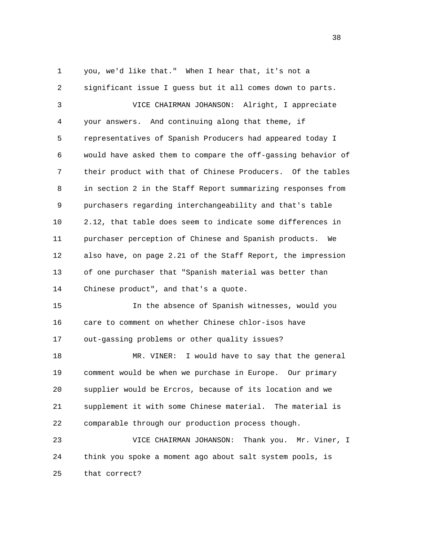1 you, we'd like that." When I hear that, it's not a 2 significant issue I guess but it all comes down to parts. 3 VICE CHAIRMAN JOHANSON: Alright, I appreciate 4 your answers. And continuing along that theme, if 5 representatives of Spanish Producers had appeared today I 6 would have asked them to compare the off-gassing behavior of 7 their product with that of Chinese Producers. Of the tables 8 in section 2 in the Staff Report summarizing responses from 9 purchasers regarding interchangeability and that's table 10 2.12, that table does seem to indicate some differences in 11 purchaser perception of Chinese and Spanish products. We 12 also have, on page 2.21 of the Staff Report, the impression 13 of one purchaser that "Spanish material was better than 14 Chinese product", and that's a quote. 15 In the absence of Spanish witnesses, would you 16 care to comment on whether Chinese chlor-isos have 17 out-gassing problems or other quality issues?

 18 MR. VINER: I would have to say that the general 19 comment would be when we purchase in Europe. Our primary 20 supplier would be Ercros, because of its location and we 21 supplement it with some Chinese material. The material is 22 comparable through our production process though.

 23 VICE CHAIRMAN JOHANSON: Thank you. Mr. Viner, I 24 think you spoke a moment ago about salt system pools, is 25 that correct?

and the state of the state of the state of the state of the state of the state of the state of the state of the state of the state of the state of the state of the state of the state of the state of the state of the state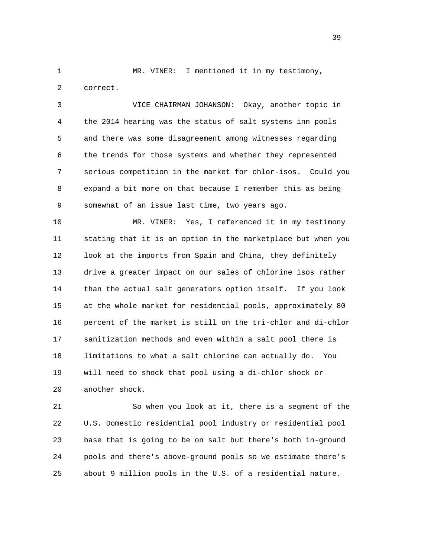1 MR. VINER: I mentioned it in my testimony, 2 correct.

 3 VICE CHAIRMAN JOHANSON: Okay, another topic in 4 the 2014 hearing was the status of salt systems inn pools 5 and there was some disagreement among witnesses regarding 6 the trends for those systems and whether they represented 7 serious competition in the market for chlor-isos. Could you 8 expand a bit more on that because I remember this as being 9 somewhat of an issue last time, two years ago.

 10 MR. VINER: Yes, I referenced it in my testimony 11 stating that it is an option in the marketplace but when you 12 look at the imports from Spain and China, they definitely 13 drive a greater impact on our sales of chlorine isos rather 14 than the actual salt generators option itself. If you look 15 at the whole market for residential pools, approximately 80 16 percent of the market is still on the tri-chlor and di-chlor 17 sanitization methods and even within a salt pool there is 18 limitations to what a salt chlorine can actually do. You 19 will need to shock that pool using a di-chlor shock or 20 another shock.

 21 So when you look at it, there is a segment of the 22 U.S. Domestic residential pool industry or residential pool 23 base that is going to be on salt but there's both in-ground 24 pools and there's above-ground pools so we estimate there's 25 about 9 million pools in the U.S. of a residential nature.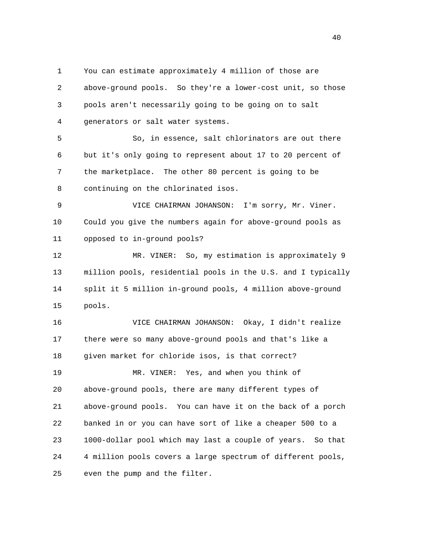1 You can estimate approximately 4 million of those are 2 above-ground pools. So they're a lower-cost unit, so those 3 pools aren't necessarily going to be going on to salt 4 generators or salt water systems.

 5 So, in essence, salt chlorinators are out there 6 but it's only going to represent about 17 to 20 percent of 7 the marketplace. The other 80 percent is going to be 8 continuing on the chlorinated isos.

 9 VICE CHAIRMAN JOHANSON: I'm sorry, Mr. Viner. 10 Could you give the numbers again for above-ground pools as 11 opposed to in-ground pools?

 12 MR. VINER: So, my estimation is approximately 9 13 million pools, residential pools in the U.S. and I typically 14 split it 5 million in-ground pools, 4 million above-ground 15 pools.

 16 VICE CHAIRMAN JOHANSON: Okay, I didn't realize 17 there were so many above-ground pools and that's like a 18 given market for chloride isos, is that correct? 19 MR. VINER: Yes, and when you think of 20 above-ground pools, there are many different types of 21 above-ground pools. You can have it on the back of a porch 22 banked in or you can have sort of like a cheaper 500 to a 23 1000-dollar pool which may last a couple of years. So that 24 4 million pools covers a large spectrum of different pools, 25 even the pump and the filter.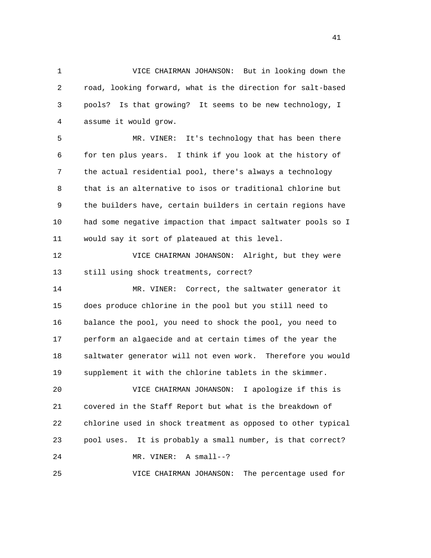1 VICE CHAIRMAN JOHANSON: But in looking down the 2 road, looking forward, what is the direction for salt-based 3 pools? Is that growing? It seems to be new technology, I 4 assume it would grow.

 5 MR. VINER: It's technology that has been there 6 for ten plus years. I think if you look at the history of 7 the actual residential pool, there's always a technology 8 that is an alternative to isos or traditional chlorine but 9 the builders have, certain builders in certain regions have 10 had some negative impaction that impact saltwater pools so I 11 would say it sort of plateaued at this level.

 12 VICE CHAIRMAN JOHANSON: Alright, but they were 13 still using shock treatments, correct?

 14 MR. VINER: Correct, the saltwater generator it 15 does produce chlorine in the pool but you still need to 16 balance the pool, you need to shock the pool, you need to 17 perform an algaecide and at certain times of the year the 18 saltwater generator will not even work. Therefore you would 19 supplement it with the chlorine tablets in the skimmer.

 20 VICE CHAIRMAN JOHANSON: I apologize if this is 21 covered in the Staff Report but what is the breakdown of 22 chlorine used in shock treatment as opposed to other typical 23 pool uses. It is probably a small number, is that correct? 24 MR. VINER: A small--? 25 VICE CHAIRMAN JOHANSON: The percentage used for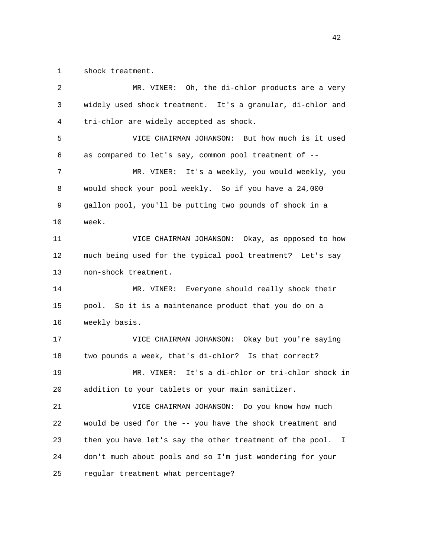1 shock treatment.

| $\overline{2}$ | MR. VINER: Oh, the di-chlor products are a very               |
|----------------|---------------------------------------------------------------|
| 3              | widely used shock treatment. It's a granular, di-chlor and    |
| 4              | tri-chlor are widely accepted as shock.                       |
| 5              | VICE CHAIRMAN JOHANSON: But how much is it used               |
| 6              | as compared to let's say, common pool treatment of --         |
| 7              | MR. VINER: It's a weekly, you would weekly, you               |
| 8              | would shock your pool weekly. So if you have a 24,000         |
| 9              | gallon pool, you'll be putting two pounds of shock in a       |
| 10             | week.                                                         |
| 11             | VICE CHAIRMAN JOHANSON: Okay, as opposed to how               |
| 12             | much being used for the typical pool treatment? Let's say     |
| 13             | non-shock treatment.                                          |
| 14             | MR. VINER: Everyone should really shock their                 |
| 15             | pool. So it is a maintenance product that you do on a         |
| 16             | weekly basis.                                                 |
| 17             | VICE CHAIRMAN JOHANSON: Okay but you're saying                |
| 18             | two pounds a week, that's di-chlor? Is that correct?          |
| 19             | It's a di-chlor or tri-chlor shock in<br>MR. VINER:           |
| 20             | addition to your tablets or your main sanitizer.              |
| 21             | VICE CHAIRMAN JOHANSON: Do you know how much                  |
| 22             | would be used for the -- you have the shock treatment and     |
| 23             | then you have let's say the other treatment of the pool.<br>I |
| 24             | don't much about pools and so I'm just wondering for your     |
| 25             | regular treatment what percentage?                            |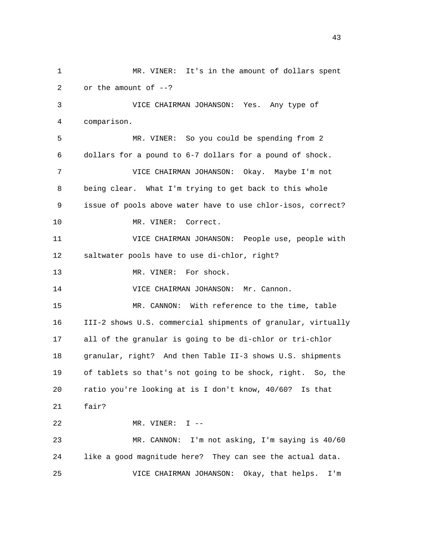1 MR. VINER: It's in the amount of dollars spent 2 or the amount of --? 3 VICE CHAIRMAN JOHANSON: Yes. Any type of 4 comparison. 5 MR. VINER: So you could be spending from 2 6 dollars for a pound to 6-7 dollars for a pound of shock. 7 VICE CHAIRMAN JOHANSON: Okay. Maybe I'm not 8 being clear. What I'm trying to get back to this whole 9 issue of pools above water have to use chlor-isos, correct? 10 MR. VINER: Correct. 11 VICE CHAIRMAN JOHANSON: People use, people with 12 saltwater pools have to use di-chlor, right? 13 MR. VINER: For shock. 14 VICE CHAIRMAN JOHANSON: Mr. Cannon. 15 MR. CANNON: With reference to the time, table 16 III-2 shows U.S. commercial shipments of granular, virtually 17 all of the granular is going to be di-chlor or tri-chlor 18 granular, right? And then Table II-3 shows U.S. shipments 19 of tablets so that's not going to be shock, right. So, the 20 ratio you're looking at is I don't know, 40/60? Is that 21 fair? 22 MR. VINER: I -- 23 MR. CANNON: I'm not asking, I'm saying is 40/60 24 like a good magnitude here? They can see the actual data. 25 VICE CHAIRMAN JOHANSON: Okay, that helps. I'm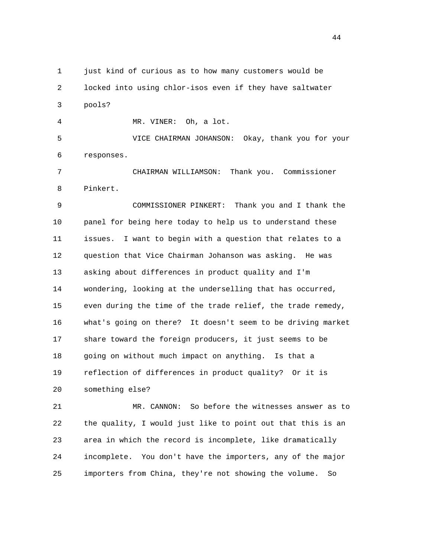1 just kind of curious as to how many customers would be

 2 locked into using chlor-isos even if they have saltwater 3 pools?

4 MR. VINER: Oh, a lot.

 5 VICE CHAIRMAN JOHANSON: Okay, thank you for your 6 responses.

 7 CHAIRMAN WILLIAMSON: Thank you. Commissioner 8 Pinkert.

 9 COMMISSIONER PINKERT: Thank you and I thank the 10 panel for being here today to help us to understand these 11 issues. I want to begin with a question that relates to a 12 question that Vice Chairman Johanson was asking. He was 13 asking about differences in product quality and I'm 14 wondering, looking at the underselling that has occurred, 15 even during the time of the trade relief, the trade remedy, 16 what's going on there? It doesn't seem to be driving market 17 share toward the foreign producers, it just seems to be 18 going on without much impact on anything. Is that a 19 reflection of differences in product quality? Or it is 20 something else?

 21 MR. CANNON: So before the witnesses answer as to 22 the quality, I would just like to point out that this is an 23 area in which the record is incomplete, like dramatically 24 incomplete. You don't have the importers, any of the major 25 importers from China, they're not showing the volume. So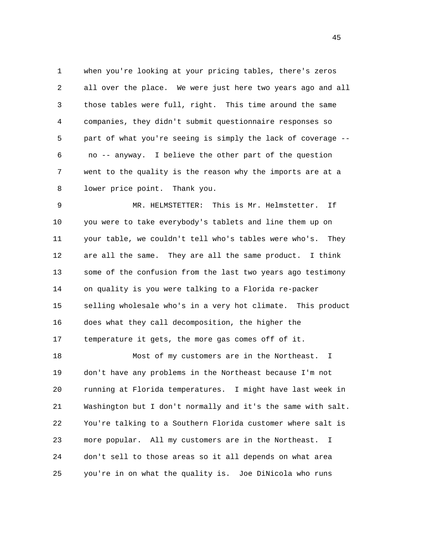1 when you're looking at your pricing tables, there's zeros 2 all over the place. We were just here two years ago and all 3 those tables were full, right. This time around the same 4 companies, they didn't submit questionnaire responses so 5 part of what you're seeing is simply the lack of coverage -- 6 no -- anyway. I believe the other part of the question 7 went to the quality is the reason why the imports are at a 8 lower price point. Thank you.

 9 MR. HELMSTETTER: This is Mr. Helmstetter. If 10 you were to take everybody's tablets and line them up on 11 your table, we couldn't tell who's tables were who's. They 12 are all the same. They are all the same product. I think 13 some of the confusion from the last two years ago testimony 14 on quality is you were talking to a Florida re-packer 15 selling wholesale who's in a very hot climate. This product 16 does what they call decomposition, the higher the 17 temperature it gets, the more gas comes off of it.

 18 Most of my customers are in the Northeast. I 19 don't have any problems in the Northeast because I'm not 20 running at Florida temperatures. I might have last week in 21 Washington but I don't normally and it's the same with salt. 22 You're talking to a Southern Florida customer where salt is 23 more popular. All my customers are in the Northeast. I 24 don't sell to those areas so it all depends on what area 25 you're in on what the quality is. Joe DiNicola who runs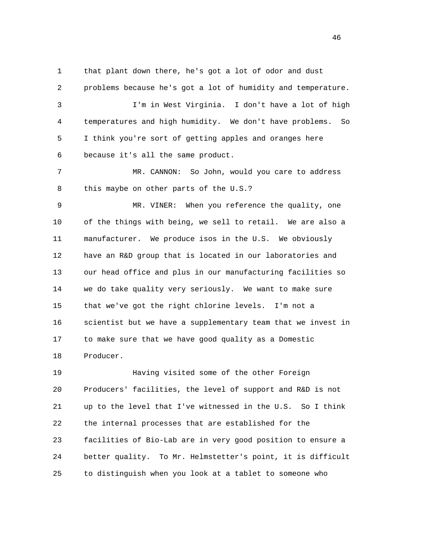1 that plant down there, he's got a lot of odor and dust 2 problems because he's got a lot of humidity and temperature. 3 I'm in West Virginia. I don't have a lot of high 4 temperatures and high humidity. We don't have problems. So 5 I think you're sort of getting apples and oranges here 6 because it's all the same product.

 7 MR. CANNON: So John, would you care to address 8 this maybe on other parts of the U.S.?

 9 MR. VINER: When you reference the quality, one 10 of the things with being, we sell to retail. We are also a 11 manufacturer. We produce isos in the U.S. We obviously 12 have an R&D group that is located in our laboratories and 13 our head office and plus in our manufacturing facilities so 14 we do take quality very seriously. We want to make sure 15 that we've got the right chlorine levels. I'm not a 16 scientist but we have a supplementary team that we invest in 17 to make sure that we have good quality as a Domestic 18 Producer.

 19 Having visited some of the other Foreign 20 Producers' facilities, the level of support and R&D is not 21 up to the level that I've witnessed in the U.S. So I think 22 the internal processes that are established for the 23 facilities of Bio-Lab are in very good position to ensure a 24 better quality. To Mr. Helmstetter's point, it is difficult 25 to distinguish when you look at a tablet to someone who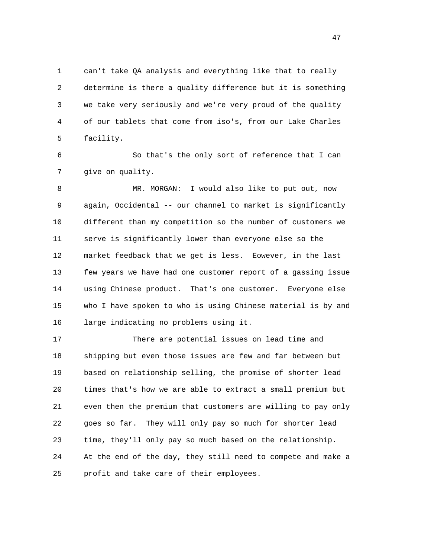1 can't take QA analysis and everything like that to really 2 determine is there a quality difference but it is something 3 we take very seriously and we're very proud of the quality 4 of our tablets that come from iso's, from our Lake Charles 5 facility.

 6 So that's the only sort of reference that I can 7 give on quality.

 8 MR. MORGAN: I would also like to put out, now 9 again, Occidental -- our channel to market is significantly 10 different than my competition so the number of customers we 11 serve is significantly lower than everyone else so the 12 market feedback that we get is less. Eowever, in the last 13 few years we have had one customer report of a gassing issue 14 using Chinese product. That's one customer. Everyone else 15 who I have spoken to who is using Chinese material is by and 16 large indicating no problems using it.

 17 There are potential issues on lead time and 18 shipping but even those issues are few and far between but 19 based on relationship selling, the promise of shorter lead 20 times that's how we are able to extract a small premium but 21 even then the premium that customers are willing to pay only 22 goes so far. They will only pay so much for shorter lead 23 time, they'll only pay so much based on the relationship. 24 At the end of the day, they still need to compete and make a 25 profit and take care of their employees.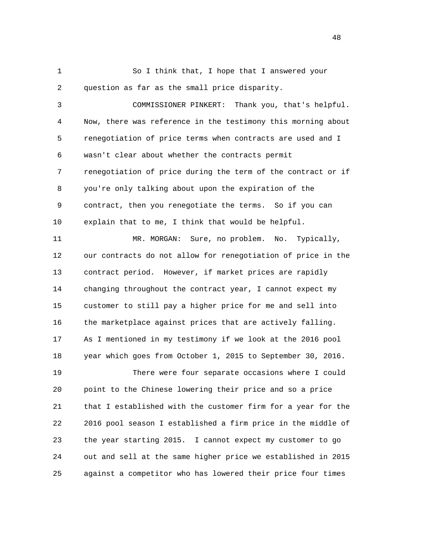1 So I think that, I hope that I answered your 2 question as far as the small price disparity.

 3 COMMISSIONER PINKERT: Thank you, that's helpful. 4 Now, there was reference in the testimony this morning about 5 renegotiation of price terms when contracts are used and I 6 wasn't clear about whether the contracts permit 7 renegotiation of price during the term of the contract or if 8 you're only talking about upon the expiration of the 9 contract, then you renegotiate the terms. So if you can 10 explain that to me, I think that would be helpful.

 11 MR. MORGAN: Sure, no problem. No. Typically, 12 our contracts do not allow for renegotiation of price in the 13 contract period. However, if market prices are rapidly 14 changing throughout the contract year, I cannot expect my 15 customer to still pay a higher price for me and sell into 16 the marketplace against prices that are actively falling. 17 As I mentioned in my testimony if we look at the 2016 pool 18 year which goes from October 1, 2015 to September 30, 2016. 19 There were four separate occasions where I could 20 point to the Chinese lowering their price and so a price

 21 that I established with the customer firm for a year for the 22 2016 pool season I established a firm price in the middle of 23 the year starting 2015. I cannot expect my customer to go 24 out and sell at the same higher price we established in 2015 25 against a competitor who has lowered their price four times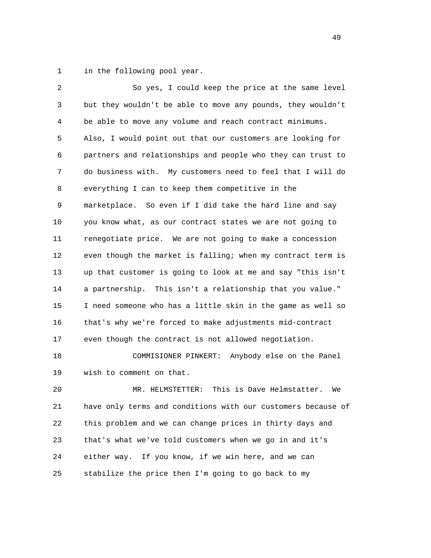1 in the following pool year.

| 2  | So yes, I could keep the price at the same level             |
|----|--------------------------------------------------------------|
| 3  | but they wouldn't be able to move any pounds, they wouldn't  |
| 4  | be able to move any volume and reach contract minimums.      |
| 5  | Also, I would point out that our customers are looking for   |
| 6  | partners and relationships and people who they can trust to  |
| 7  | do business with. My customers need to feel that I will do   |
| 8  | everything I can to keep them competitive in the             |
| 9  | marketplace. So even if I did take the hard line and say     |
| 10 | you know what, as our contract states we are not going to    |
| 11 | renegotiate price. We are not going to make a concession     |
| 12 | even though the market is falling; when my contract term is  |
| 13 | up that customer is going to look at me and say "this isn't  |
| 14 | a partnership. This isn't a relationship that you value."    |
| 15 | I need someone who has a little skin in the game as well so  |
| 16 | that's why we're forced to make adjustments mid-contract     |
| 17 | even though the contract is not allowed negotiation.         |
| 18 | Anybody else on the Panel<br>COMMISIONER PINKERT:            |
| 19 | wish to comment on that.                                     |
| 20 | This is Dave Helmstatter.<br>MR. HELMSTETTER:<br>We          |
| 21 | have only terms and conditions with our customers because of |
| 22 | this problem and we can change prices in thirty days and     |
|    |                                                              |

23 that's what we've told customers when we go in and it's

24 either way. If you know, if we win here, and we can

25 stabilize the price then I'm going to go back to my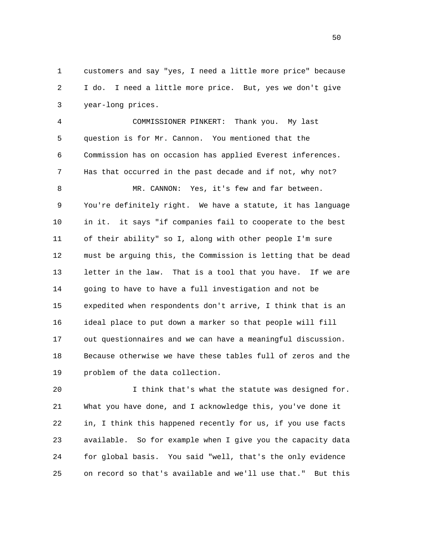1 customers and say "yes, I need a little more price" because 2 I do. I need a little more price. But, yes we don't give 3 year-long prices.

 4 COMMISSIONER PINKERT: Thank you. My last 5 question is for Mr. Cannon. You mentioned that the 6 Commission has on occasion has applied Everest inferences. 7 Has that occurred in the past decade and if not, why not? 8 MR. CANNON: Yes, it's few and far between. 9 You're definitely right. We have a statute, it has language 10 in it. it says "if companies fail to cooperate to the best 11 of their ability" so I, along with other people I'm sure 12 must be arguing this, the Commission is letting that be dead 13 letter in the law. That is a tool that you have. If we are 14 going to have to have a full investigation and not be 15 expedited when respondents don't arrive, I think that is an 16 ideal place to put down a marker so that people will fill 17 out questionnaires and we can have a meaningful discussion. 18 Because otherwise we have these tables full of zeros and the 19 problem of the data collection.

 20 I think that's what the statute was designed for. 21 What you have done, and I acknowledge this, you've done it 22 in, I think this happened recently for us, if you use facts 23 available. So for example when I give you the capacity data 24 for global basis. You said "well, that's the only evidence 25 on record so that's available and we'll use that." But this

 $50<sub>50</sub>$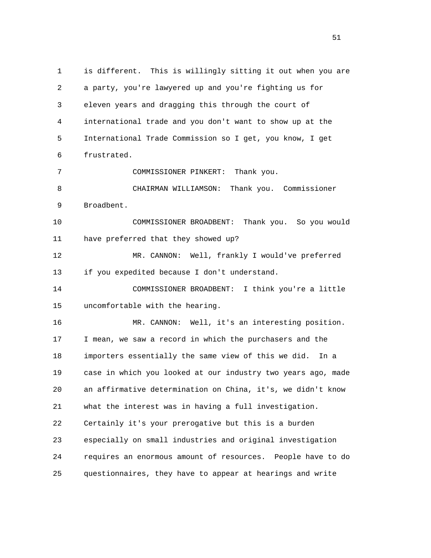1 is different. This is willingly sitting it out when you are 2 a party, you're lawyered up and you're fighting us for 3 eleven years and dragging this through the court of 4 international trade and you don't want to show up at the 5 International Trade Commission so I get, you know, I get 6 frustrated. 7 COMMISSIONER PINKERT: Thank you. 8 CHAIRMAN WILLIAMSON: Thank you. Commissioner 9 Broadbent. 10 COMMISSIONER BROADBENT: Thank you. So you would 11 have preferred that they showed up? 12 MR. CANNON: Well, frankly I would've preferred 13 if you expedited because I don't understand. 14 COMMISSIONER BROADBENT: I think you're a little 15 uncomfortable with the hearing. 16 MR. CANNON: Well, it's an interesting position. 17 I mean, we saw a record in which the purchasers and the 18 importers essentially the same view of this we did. In a 19 case in which you looked at our industry two years ago, made 20 an affirmative determination on China, it's, we didn't know 21 what the interest was in having a full investigation. 22 Certainly it's your prerogative but this is a burden 23 especially on small industries and original investigation 24 requires an enormous amount of resources. People have to do 25 questionnaires, they have to appear at hearings and write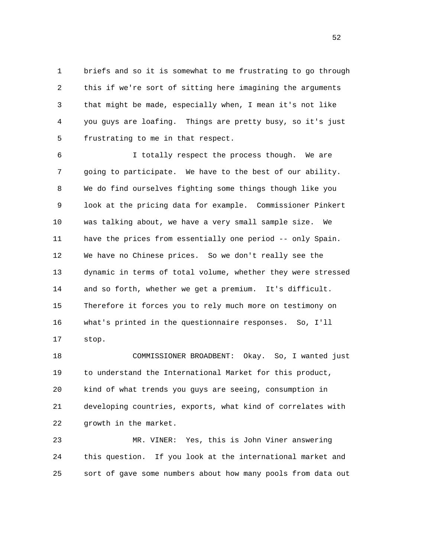1 briefs and so it is somewhat to me frustrating to go through 2 this if we're sort of sitting here imagining the arguments 3 that might be made, especially when, I mean it's not like 4 you guys are loafing. Things are pretty busy, so it's just 5 frustrating to me in that respect.

 6 I totally respect the process though. We are 7 going to participate. We have to the best of our ability. 8 We do find ourselves fighting some things though like you 9 look at the pricing data for example. Commissioner Pinkert 10 was talking about, we have a very small sample size. We 11 have the prices from essentially one period -- only Spain. 12 We have no Chinese prices. So we don't really see the 13 dynamic in terms of total volume, whether they were stressed 14 and so forth, whether we get a premium. It's difficult. 15 Therefore it forces you to rely much more on testimony on 16 what's printed in the questionnaire responses. So, I'll 17 stop.

 18 COMMISSIONER BROADBENT: Okay. So, I wanted just 19 to understand the International Market for this product, 20 kind of what trends you guys are seeing, consumption in 21 developing countries, exports, what kind of correlates with 22 growth in the market.

 23 MR. VINER: Yes, this is John Viner answering 24 this question. If you look at the international market and 25 sort of gave some numbers about how many pools from data out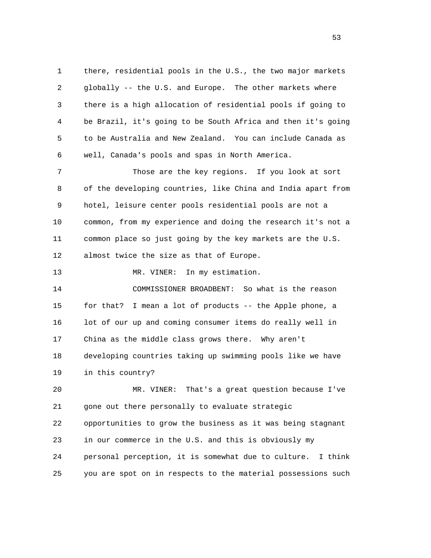1 there, residential pools in the U.S., the two major markets 2 globally -- the U.S. and Europe. The other markets where 3 there is a high allocation of residential pools if going to 4 be Brazil, it's going to be South Africa and then it's going 5 to be Australia and New Zealand. You can include Canada as 6 well, Canada's pools and spas in North America.

 7 Those are the key regions. If you look at sort 8 of the developing countries, like China and India apart from 9 hotel, leisure center pools residential pools are not a 10 common, from my experience and doing the research it's not a 11 common place so just going by the key markets are the U.S. 12 almost twice the size as that of Europe.

13 MR. VINER: In my estimation.

 14 COMMISSIONER BROADBENT: So what is the reason 15 for that? I mean a lot of products -- the Apple phone, a 16 lot of our up and coming consumer items do really well in 17 China as the middle class grows there. Why aren't 18 developing countries taking up swimming pools like we have 19 in this country?

 20 MR. VINER: That's a great question because I've 21 gone out there personally to evaluate strategic 22 opportunities to grow the business as it was being stagnant 23 in our commerce in the U.S. and this is obviously my 24 personal perception, it is somewhat due to culture. I think 25 you are spot on in respects to the material possessions such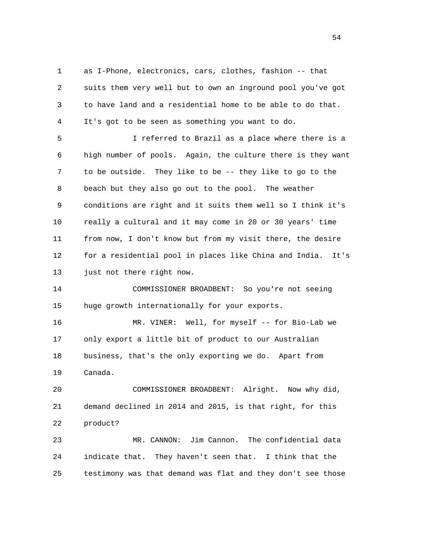1 as I-Phone, electronics, cars, clothes, fashion -- that 2 suits them very well but to own an inground pool you've got 3 to have land and a residential home to be able to do that. 4 It's got to be seen as something you want to do.

 5 I referred to Brazil as a place where there is a 6 high number of pools. Again, the culture there is they want 7 to be outside. They like to be -- they like to go to the 8 beach but they also go out to the pool. The weather 9 conditions are right and it suits them well so I think it's 10 really a cultural and it may come in 20 or 30 years' time 11 from now, I don't know but from my visit there, the desire 12 for a residential pool in places like China and India. It's 13 just not there right now.

 14 COMMISSIONER BROADBENT: So you're not seeing 15 huge growth internationally for your exports.

 16 MR. VINER: Well, for myself -- for Bio-Lab we 17 only export a little bit of product to our Australian 18 business, that's the only exporting we do. Apart from 19 Canada.

 20 COMMISSIONER BROADBENT: Alright. Now why did, 21 demand declined in 2014 and 2015, is that right, for this 22 product?

 23 MR. CANNON: Jim Cannon. The confidential data 24 indicate that. They haven't seen that. I think that the 25 testimony was that demand was flat and they don't see those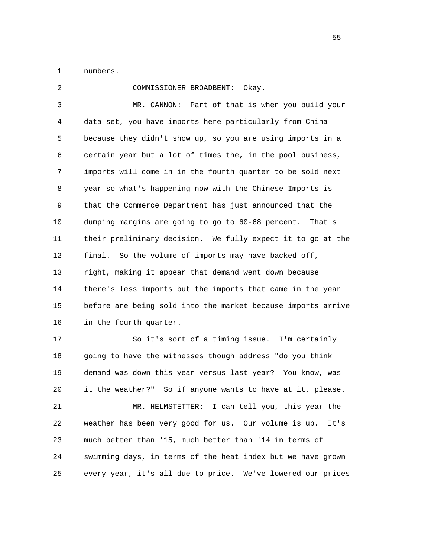1 numbers.

 2 COMMISSIONER BROADBENT: Okay. 3 MR. CANNON: Part of that is when you build your 4 data set, you have imports here particularly from China 5 because they didn't show up, so you are using imports in a 6 certain year but a lot of times the, in the pool business, 7 imports will come in in the fourth quarter to be sold next 8 year so what's happening now with the Chinese Imports is 9 that the Commerce Department has just announced that the 10 dumping margins are going to go to 60-68 percent. That's 11 their preliminary decision. We fully expect it to go at the 12 final. So the volume of imports may have backed off, 13 right, making it appear that demand went down because 14 there's less imports but the imports that came in the year 15 before are being sold into the market because imports arrive 16 in the fourth quarter. 17 So it's sort of a timing issue. I'm certainly 18 going to have the witnesses though address "do you think 19 demand was down this year versus last year? You know, was 20 it the weather?" So if anyone wants to have at it, please. 21 MR. HELMSTETTER: I can tell you, this year the

 22 weather has been very good for us. Our volume is up. It's 23 much better than '15, much better than '14 in terms of 24 swimming days, in terms of the heat index but we have grown 25 every year, it's all due to price. We've lowered our prices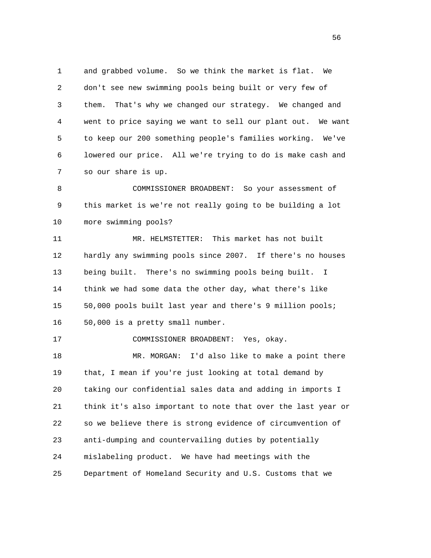1 and grabbed volume. So we think the market is flat. We 2 don't see new swimming pools being built or very few of 3 them. That's why we changed our strategy. We changed and 4 went to price saying we want to sell our plant out. We want 5 to keep our 200 something people's families working. We've 6 lowered our price. All we're trying to do is make cash and 7 so our share is up.

 8 COMMISSIONER BROADBENT: So your assessment of 9 this market is we're not really going to be building a lot 10 more swimming pools?

 11 MR. HELMSTETTER: This market has not built 12 hardly any swimming pools since 2007. If there's no houses 13 being built. There's no swimming pools being built. I 14 think we had some data the other day, what there's like 15 50,000 pools built last year and there's 9 million pools; 16 50,000 is a pretty small number.

17 COMMISSIONER BROADBENT: Yes, okay.

 18 MR. MORGAN: I'd also like to make a point there 19 that, I mean if you're just looking at total demand by 20 taking our confidential sales data and adding in imports I 21 think it's also important to note that over the last year or 22 so we believe there is strong evidence of circumvention of 23 anti-dumping and countervailing duties by potentially 24 mislabeling product. We have had meetings with the 25 Department of Homeland Security and U.S. Customs that we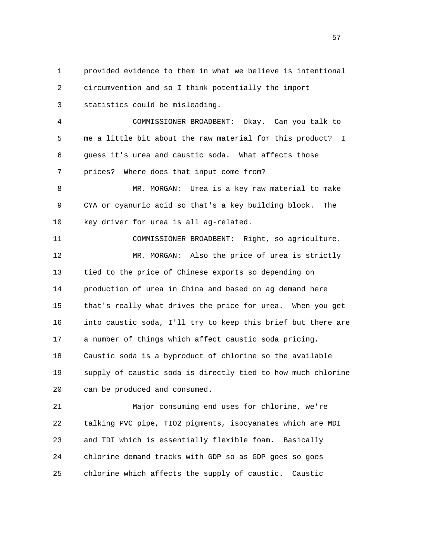1 provided evidence to them in what we believe is intentional 2 circumvention and so I think potentially the import 3 statistics could be misleading. 4 COMMISSIONER BROADBENT: Okay. Can you talk to 5 me a little bit about the raw material for this product? I 6 guess it's urea and caustic soda. What affects those 7 prices? Where does that input come from? 8 MR. MORGAN: Urea is a key raw material to make 9 CYA or cyanuric acid so that's a key building block. The 10 key driver for urea is all ag-related. 11 COMMISSIONER BROADBENT: Right, so agriculture. 12 MR. MORGAN: Also the price of urea is strictly 13 tied to the price of Chinese exports so depending on 14 production of urea in China and based on ag demand here 15 that's really what drives the price for urea. When you get 16 into caustic soda, I'll try to keep this brief but there are 17 a number of things which affect caustic soda pricing. 18 Caustic soda is a byproduct of chlorine so the available 19 supply of caustic soda is directly tied to how much chlorine 20 can be produced and consumed.

 21 Major consuming end uses for chlorine, we're 22 talking PVC pipe, TIO2 pigments, isocyanates which are MDI 23 and TDI which is essentially flexible foam. Basically 24 chlorine demand tracks with GDP so as GDP goes so goes 25 chlorine which affects the supply of caustic. Caustic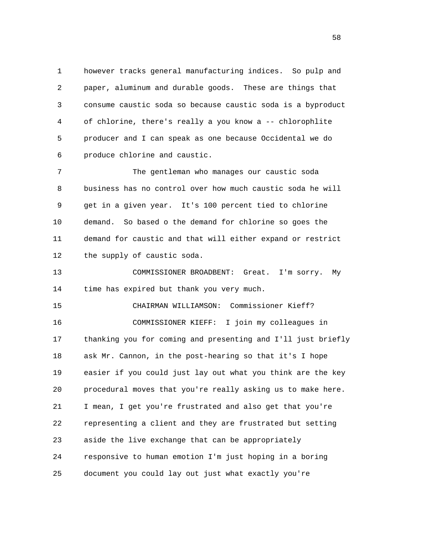1 however tracks general manufacturing indices. So pulp and 2 paper, aluminum and durable goods. These are things that 3 consume caustic soda so because caustic soda is a byproduct 4 of chlorine, there's really a you know a -- chlorophlite 5 producer and I can speak as one because Occidental we do 6 produce chlorine and caustic.

 7 The gentleman who manages our caustic soda 8 business has no control over how much caustic soda he will 9 get in a given year. It's 100 percent tied to chlorine 10 demand. So based o the demand for chlorine so goes the 11 demand for caustic and that will either expand or restrict 12 the supply of caustic soda.

 13 COMMISSIONER BROADBENT: Great. I'm sorry. My 14 time has expired but thank you very much.

 15 CHAIRMAN WILLIAMSON: Commissioner Kieff? 16 COMMISSIONER KIEFF: I join my colleagues in 17 thanking you for coming and presenting and I'll just briefly 18 ask Mr. Cannon, in the post-hearing so that it's I hope 19 easier if you could just lay out what you think are the key 20 procedural moves that you're really asking us to make here. 21 I mean, I get you're frustrated and also get that you're 22 representing a client and they are frustrated but setting 23 aside the live exchange that can be appropriately 24 responsive to human emotion I'm just hoping in a boring 25 document you could lay out just what exactly you're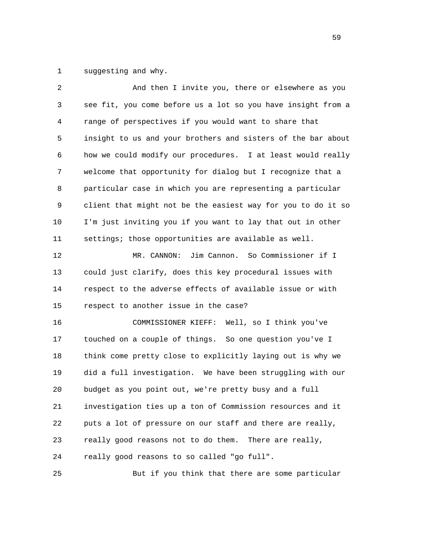1 suggesting and why.

| 2  | And then I invite you, there or elsewhere as you             |
|----|--------------------------------------------------------------|
| 3  | see fit, you come before us a lot so you have insight from a |
| 4  | range of perspectives if you would want to share that        |
| 5  | insight to us and your brothers and sisters of the bar about |
| 6  | how we could modify our procedures. I at least would really  |
| 7  | welcome that opportunity for dialog but I recognize that a   |
| 8  | particular case in which you are representing a particular   |
| 9  | client that might not be the easiest way for you to do it so |
| 10 | I'm just inviting you if you want to lay that out in other   |
| 11 | settings; those opportunities are available as well.         |
| 12 | Jim Cannon. So Commissioner if I<br>MR. CANNON:              |
| 13 | could just clarify, does this key procedural issues with     |
| 14 | respect to the adverse effects of available issue or with    |
| 15 | respect to another issue in the case?                        |
| 16 | COMMISSIONER KIEFF: Well, so I think you've                  |
| 17 | touched on a couple of things. So one question you've I      |
| 18 | think come pretty close to explicitly laying out is why we   |
| 19 | did a full investigation. We have been struggling with our   |
| 20 | budget as you point out, we're pretty busy and a full        |
| 21 | investigation ties up a ton of Commission resources and it   |
| 22 | puts a lot of pressure on our staff and there are really,    |
| 23 | really good reasons not to do them.<br>There are really,     |
| 24 | really good reasons to so called "go full".                  |
|    |                                                              |

25 But if you think that there are some particular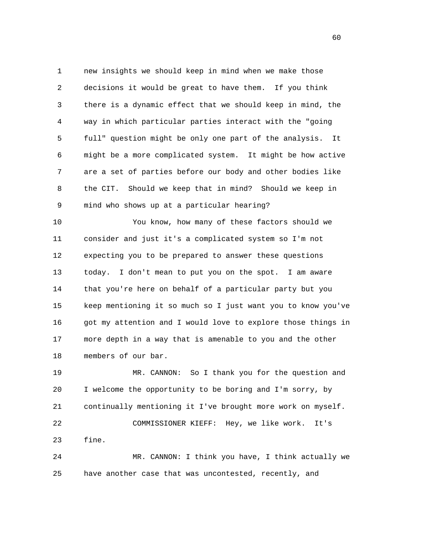1 new insights we should keep in mind when we make those 2 decisions it would be great to have them. If you think 3 there is a dynamic effect that we should keep in mind, the 4 way in which particular parties interact with the "going 5 full" question might be only one part of the analysis. It 6 might be a more complicated system. It might be how active 7 are a set of parties before our body and other bodies like 8 the CIT. Should we keep that in mind? Should we keep in 9 mind who shows up at a particular hearing?

 10 You know, how many of these factors should we 11 consider and just it's a complicated system so I'm not 12 expecting you to be prepared to answer these questions 13 today. I don't mean to put you on the spot. I am aware 14 that you're here on behalf of a particular party but you 15 keep mentioning it so much so I just want you to know you've 16 got my attention and I would love to explore those things in 17 more depth in a way that is amenable to you and the other 18 members of our bar.

 19 MR. CANNON: So I thank you for the question and 20 I welcome the opportunity to be boring and I'm sorry, by 21 continually mentioning it I've brought more work on myself. 22 COMMISSIONER KIEFF: Hey, we like work. It's 23 fine. 24 MR. CANNON: I think you have, I think actually we

25 have another case that was uncontested, recently, and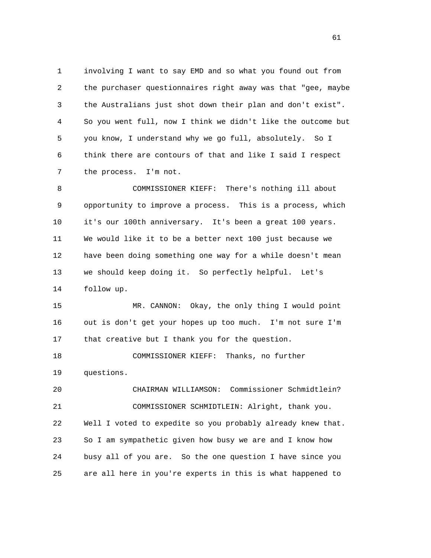1 involving I want to say EMD and so what you found out from 2 the purchaser questionnaires right away was that "gee, maybe 3 the Australians just shot down their plan and don't exist". 4 So you went full, now I think we didn't like the outcome but 5 you know, I understand why we go full, absolutely. So I 6 think there are contours of that and like I said I respect 7 the process. I'm not.

 8 COMMISSIONER KIEFF: There's nothing ill about 9 opportunity to improve a process. This is a process, which 10 it's our 100th anniversary. It's been a great 100 years. 11 We would like it to be a better next 100 just because we 12 have been doing something one way for a while doesn't mean 13 we should keep doing it. So perfectly helpful. Let's 14 follow up.

 15 MR. CANNON: Okay, the only thing I would point 16 out is don't get your hopes up too much. I'm not sure I'm 17 that creative but I thank you for the question.

 18 COMMISSIONER KIEFF: Thanks, no further 19 questions.

 20 CHAIRMAN WILLIAMSON: Commissioner Schmidtlein? 21 COMMISSIONER SCHMIDTLEIN: Alright, thank you. 22 Well I voted to expedite so you probably already knew that. 23 So I am sympathetic given how busy we are and I know how 24 busy all of you are. So the one question I have since you 25 are all here in you're experts in this is what happened to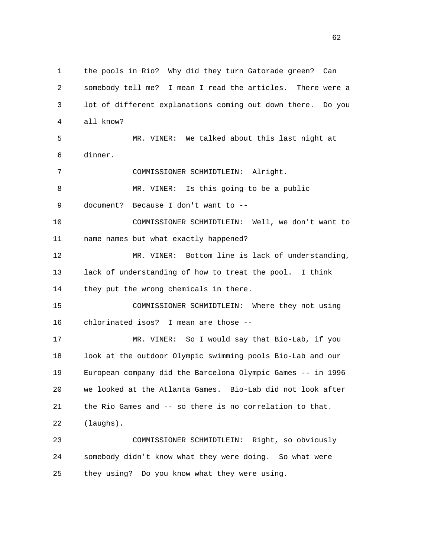1 the pools in Rio? Why did they turn Gatorade green? Can 2 somebody tell me? I mean I read the articles. There were a 3 lot of different explanations coming out down there. Do you 4 all know? 5 MR. VINER: We talked about this last night at 6 dinner. 7 COMMISSIONER SCHMIDTLEIN: Alright. 8 MR. VINER: Is this going to be a public 9 document? Because I don't want to -- 10 COMMISSIONER SCHMIDTLEIN: Well, we don't want to 11 name names but what exactly happened? 12 MR. VINER: Bottom line is lack of understanding, 13 lack of understanding of how to treat the pool. I think 14 they put the wrong chemicals in there. 15 COMMISSIONER SCHMIDTLEIN: Where they not using 16 chlorinated isos? I mean are those -- 17 MR. VINER: So I would say that Bio-Lab, if you 18 look at the outdoor Olympic swimming pools Bio-Lab and our 19 European company did the Barcelona Olympic Games -- in 1996 20 we looked at the Atlanta Games. Bio-Lab did not look after 21 the Rio Games and -- so there is no correlation to that. 22 (laughs). 23 COMMISSIONER SCHMIDTLEIN: Right, so obviously 24 somebody didn't know what they were doing. So what were 25 they using? Do you know what they were using.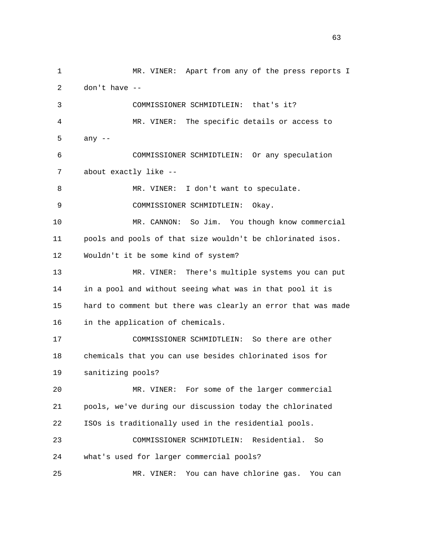1 MR. VINER: Apart from any of the press reports I 2 don't have -- 3 COMMISSIONER SCHMIDTLEIN: that's it? 4 MR. VINER: The specific details or access to 5 any -- 6 COMMISSIONER SCHMIDTLEIN: Or any speculation 7 about exactly like -- 8 MR. VINER: I don't want to speculate. 9 COMMISSIONER SCHMIDTLEIN: Okay. 10 MR. CANNON: So Jim. You though know commercial 11 pools and pools of that size wouldn't be chlorinated isos. 12 Wouldn't it be some kind of system? 13 MR. VINER: There's multiple systems you can put 14 in a pool and without seeing what was in that pool it is 15 hard to comment but there was clearly an error that was made 16 in the application of chemicals. 17 COMMISSIONER SCHMIDTLEIN: So there are other 18 chemicals that you can use besides chlorinated isos for 19 sanitizing pools? 20 MR. VINER: For some of the larger commercial 21 pools, we've during our discussion today the chlorinated 22 ISOs is traditionally used in the residential pools. 23 COMMISSIONER SCHMIDTLEIN: Residential. So 24 what's used for larger commercial pools? 25 MR. VINER: You can have chlorine gas. You can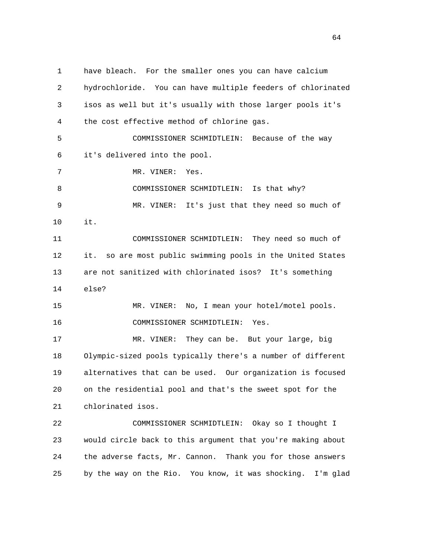1 have bleach. For the smaller ones you can have calcium 2 hydrochloride. You can have multiple feeders of chlorinated 3 isos as well but it's usually with those larger pools it's 4 the cost effective method of chlorine gas. 5 COMMISSIONER SCHMIDTLEIN: Because of the way 6 it's delivered into the pool. 7 MR. VINER: Yes. 8 COMMISSIONER SCHMIDTLEIN: Is that why? 9 MR. VINER: It's just that they need so much of 10 it. 11 COMMISSIONER SCHMIDTLEIN: They need so much of 12 it. so are most public swimming pools in the United States 13 are not sanitized with chlorinated isos? It's something 14 else? 15 MR. VINER: No, I mean your hotel/motel pools. 16 COMMISSIONER SCHMIDTLEIN: Yes. 17 MR. VINER: They can be. But your large, big 18 Olympic-sized pools typically there's a number of different 19 alternatives that can be used. Our organization is focused 20 on the residential pool and that's the sweet spot for the 21 chlorinated isos. 22 COMMISSIONER SCHMIDTLEIN: Okay so I thought I 23 would circle back to this argument that you're making about 24 the adverse facts, Mr. Cannon. Thank you for those answers 25 by the way on the Rio. You know, it was shocking. I'm glad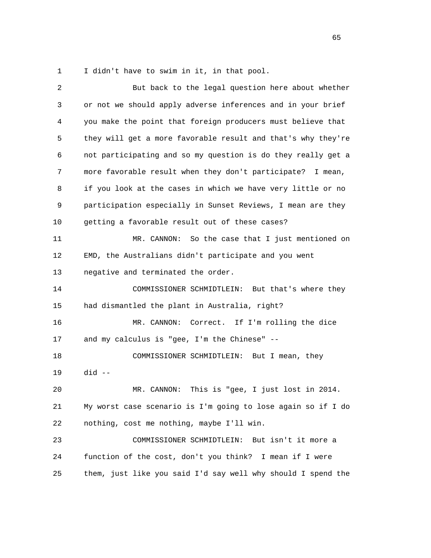1 I didn't have to swim in it, in that pool.

| $\overline{c}$ | But back to the legal question here about whether            |
|----------------|--------------------------------------------------------------|
| 3              | or not we should apply adverse inferences and in your brief  |
| 4              | you make the point that foreign producers must believe that  |
| 5              | they will get a more favorable result and that's why they're |
| 6              | not participating and so my question is do they really get a |
| 7              | more favorable result when they don't participate? I mean,   |
| 8              | if you look at the cases in which we have very little or no  |
| 9              | participation especially in Sunset Reviews, I mean are they  |
| 10             | getting a favorable result out of these cases?               |
| 11             | MR. CANNON:<br>So the case that I just mentioned on          |
| 12             | EMD, the Australians didn't participate and you went         |
| 13             | negative and terminated the order.                           |
| 14             | COMMISSIONER SCHMIDTLEIN: But that's where they              |
| 15             | had dismantled the plant in Australia, right?                |
| 16             | MR. CANNON: Correct. If I'm rolling the dice                 |
| 17             | and my calculus is "gee, I'm the Chinese" --                 |
| 18             | COMMISSIONER SCHMIDTLEIN: But I mean, they                   |
| 19             | $did --$                                                     |
| 20             | This is "gee, I just lost in 2014.<br>MR. CANNON:            |
| 21             | My worst case scenario is I'm going to lose again so if I do |
| 22             | nothing, cost me nothing, maybe I'll win.                    |
| 23             | COMMISSIONER SCHMIDTLEIN:<br>But isn't it more a             |
| 24             | function of the cost, don't you think? I mean if I were      |
| 25             | them, just like you said I'd say well why should I spend the |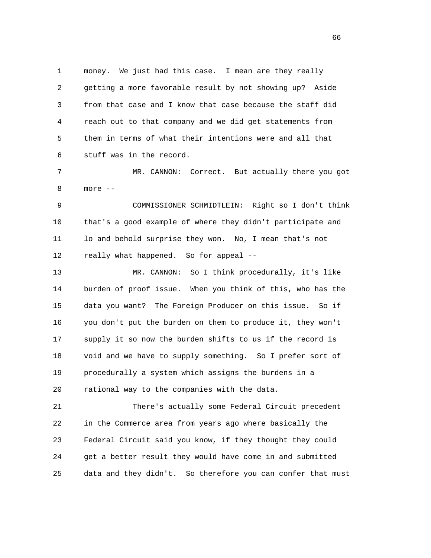1 money. We just had this case. I mean are they really 2 getting a more favorable result by not showing up? Aside 3 from that case and I know that case because the staff did 4 reach out to that company and we did get statements from 5 them in terms of what their intentions were and all that 6 stuff was in the record.

 7 MR. CANNON: Correct. But actually there you got 8 more --

 9 COMMISSIONER SCHMIDTLEIN: Right so I don't think 10 that's a good example of where they didn't participate and 11 lo and behold surprise they won. No, I mean that's not 12 really what happened. So for appeal --

 13 MR. CANNON: So I think procedurally, it's like 14 burden of proof issue. When you think of this, who has the 15 data you want? The Foreign Producer on this issue. So if 16 you don't put the burden on them to produce it, they won't 17 supply it so now the burden shifts to us if the record is 18 void and we have to supply something. So I prefer sort of 19 procedurally a system which assigns the burdens in a 20 rational way to the companies with the data.

 21 There's actually some Federal Circuit precedent 22 in the Commerce area from years ago where basically the 23 Federal Circuit said you know, if they thought they could 24 get a better result they would have come in and submitted 25 data and they didn't. So therefore you can confer that must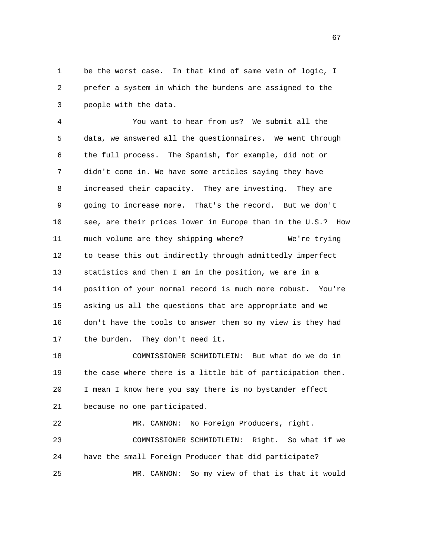1 be the worst case. In that kind of same vein of logic, I 2 prefer a system in which the burdens are assigned to the 3 people with the data.

 4 You want to hear from us? We submit all the 5 data, we answered all the questionnaires. We went through 6 the full process. The Spanish, for example, did not or 7 didn't come in. We have some articles saying they have 8 increased their capacity. They are investing. They are 9 going to increase more. That's the record. But we don't 10 see, are their prices lower in Europe than in the U.S.? How 11 much volume are they shipping where? We're trying 12 to tease this out indirectly through admittedly imperfect 13 statistics and then I am in the position, we are in a 14 position of your normal record is much more robust. You're 15 asking us all the questions that are appropriate and we 16 don't have the tools to answer them so my view is they had 17 the burden. They don't need it.

 18 COMMISSIONER SCHMIDTLEIN: But what do we do in 19 the case where there is a little bit of participation then. 20 I mean I know here you say there is no bystander effect 21 because no one participated.

 22 MR. CANNON: No Foreign Producers, right. 23 COMMISSIONER SCHMIDTLEIN: Right. So what if we 24 have the small Foreign Producer that did participate? 25 MR. CANNON: So my view of that is that it would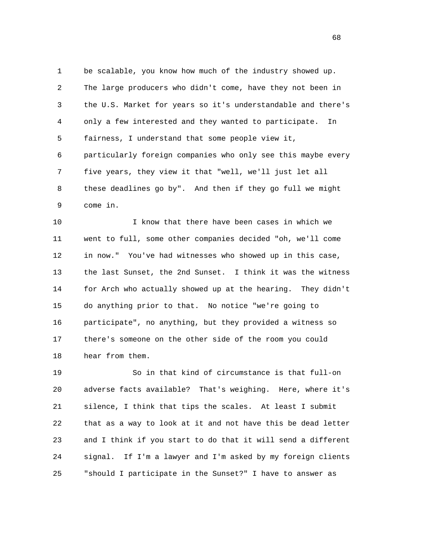1 be scalable, you know how much of the industry showed up. 2 The large producers who didn't come, have they not been in 3 the U.S. Market for years so it's understandable and there's 4 only a few interested and they wanted to participate. In 5 fairness, I understand that some people view it, 6 particularly foreign companies who only see this maybe every 7 five years, they view it that "well, we'll just let all 8 these deadlines go by". And then if they go full we might 9 come in.

 10 I know that there have been cases in which we 11 went to full, some other companies decided "oh, we'll come 12 in now." You've had witnesses who showed up in this case, 13 the last Sunset, the 2nd Sunset. I think it was the witness 14 for Arch who actually showed up at the hearing. They didn't 15 do anything prior to that. No notice "we're going to 16 participate", no anything, but they provided a witness so 17 there's someone on the other side of the room you could 18 hear from them.

 19 So in that kind of circumstance is that full-on 20 adverse facts available? That's weighing. Here, where it's 21 silence, I think that tips the scales. At least I submit 22 that as a way to look at it and not have this be dead letter 23 and I think if you start to do that it will send a different 24 signal. If I'm a lawyer and I'm asked by my foreign clients 25 "should I participate in the Sunset?" I have to answer as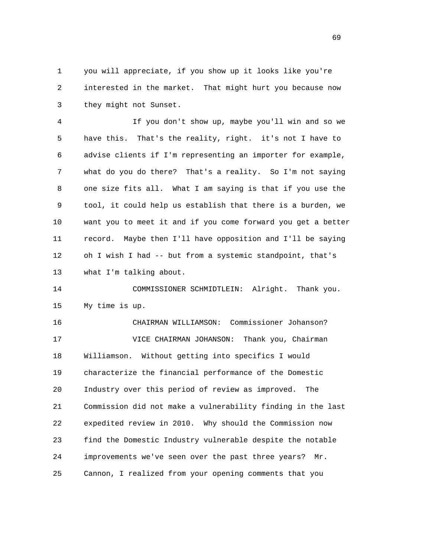1 you will appreciate, if you show up it looks like you're 2 interested in the market. That might hurt you because now 3 they might not Sunset.

 4 If you don't show up, maybe you'll win and so we 5 have this. That's the reality, right. it's not I have to 6 advise clients if I'm representing an importer for example, 7 what do you do there? That's a reality. So I'm not saying 8 one size fits all. What I am saying is that if you use the 9 tool, it could help us establish that there is a burden, we 10 want you to meet it and if you come forward you get a better 11 record. Maybe then I'll have opposition and I'll be saying 12 oh I wish I had -- but from a systemic standpoint, that's 13 what I'm talking about.

 14 COMMISSIONER SCHMIDTLEIN: Alright. Thank you. 15 My time is up.

 16 CHAIRMAN WILLIAMSON: Commissioner Johanson? 17 VICE CHAIRMAN JOHANSON: Thank you, Chairman 18 Williamson. Without getting into specifics I would 19 characterize the financial performance of the Domestic 20 Industry over this period of review as improved. The 21 Commission did not make a vulnerability finding in the last 22 expedited review in 2010. Why should the Commission now 23 find the Domestic Industry vulnerable despite the notable 24 improvements we've seen over the past three years? Mr. 25 Cannon, I realized from your opening comments that you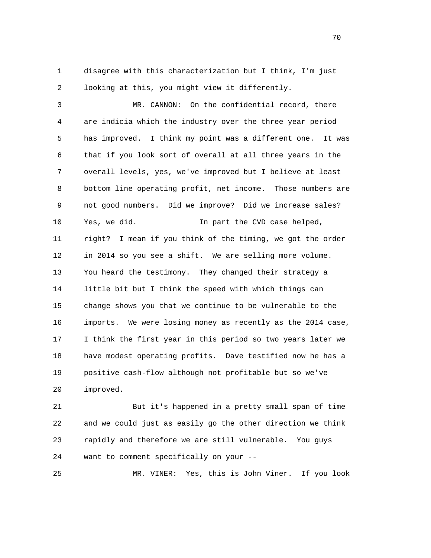1 disagree with this characterization but I think, I'm just 2 looking at this, you might view it differently.

 3 MR. CANNON: On the confidential record, there 4 are indicia which the industry over the three year period 5 has improved. I think my point was a different one. It was 6 that if you look sort of overall at all three years in the 7 overall levels, yes, we've improved but I believe at least 8 bottom line operating profit, net income. Those numbers are 9 not good numbers. Did we improve? Did we increase sales? 10 Yes, we did. In part the CVD case helped, 11 right? I mean if you think of the timing, we got the order 12 in 2014 so you see a shift. We are selling more volume. 13 You heard the testimony. They changed their strategy a 14 little bit but I think the speed with which things can 15 change shows you that we continue to be vulnerable to the 16 imports. We were losing money as recently as the 2014 case, 17 I think the first year in this period so two years later we 18 have modest operating profits. Dave testified now he has a 19 positive cash-flow although not profitable but so we've 20 improved.

 21 But it's happened in a pretty small span of time 22 and we could just as easily go the other direction we think 23 rapidly and therefore we are still vulnerable. You guys 24 want to comment specifically on your --

25 MR. VINER: Yes, this is John Viner. If you look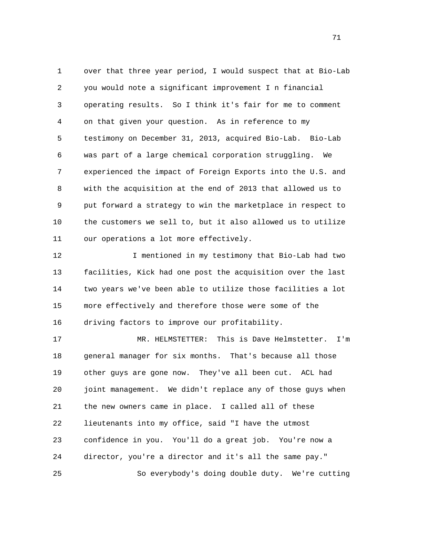1 over that three year period, I would suspect that at Bio-Lab 2 you would note a significant improvement I n financial 3 operating results. So I think it's fair for me to comment 4 on that given your question. As in reference to my 5 testimony on December 31, 2013, acquired Bio-Lab. Bio-Lab 6 was part of a large chemical corporation struggling. We 7 experienced the impact of Foreign Exports into the U.S. and 8 with the acquisition at the end of 2013 that allowed us to 9 put forward a strategy to win the marketplace in respect to 10 the customers we sell to, but it also allowed us to utilize 11 our operations a lot more effectively.

12 I mentioned in my testimony that Bio-Lab had two 13 facilities, Kick had one post the acquisition over the last 14 two years we've been able to utilize those facilities a lot 15 more effectively and therefore those were some of the 16 driving factors to improve our profitability.

 17 MR. HELMSTETTER: This is Dave Helmstetter. I'm 18 general manager for six months. That's because all those 19 other guys are gone now. They've all been cut. ACL had 20 joint management. We didn't replace any of those guys when 21 the new owners came in place. I called all of these 22 lieutenants into my office, said "I have the utmost 23 confidence in you. You'll do a great job. You're now a 24 director, you're a director and it's all the same pay." 25 So everybody's doing double duty. We're cutting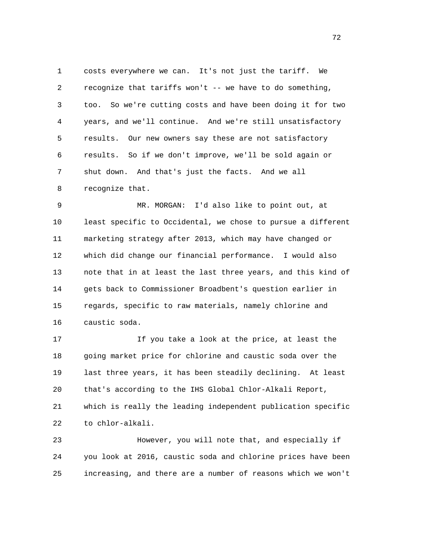1 costs everywhere we can. It's not just the tariff. We 2 recognize that tariffs won't -- we have to do something, 3 too. So we're cutting costs and have been doing it for two 4 years, and we'll continue. And we're still unsatisfactory 5 results. Our new owners say these are not satisfactory 6 results. So if we don't improve, we'll be sold again or 7 shut down. And that's just the facts. And we all 8 recognize that.

 9 MR. MORGAN: I'd also like to point out, at 10 least specific to Occidental, we chose to pursue a different 11 marketing strategy after 2013, which may have changed or 12 which did change our financial performance. I would also 13 note that in at least the last three years, and this kind of 14 gets back to Commissioner Broadbent's question earlier in 15 regards, specific to raw materials, namely chlorine and 16 caustic soda.

 17 If you take a look at the price, at least the 18 going market price for chlorine and caustic soda over the 19 last three years, it has been steadily declining. At least 20 that's according to the IHS Global Chlor-Alkali Report, 21 which is really the leading independent publication specific 22 to chlor-alkali.

 23 However, you will note that, and especially if 24 you look at 2016, caustic soda and chlorine prices have been 25 increasing, and there are a number of reasons which we won't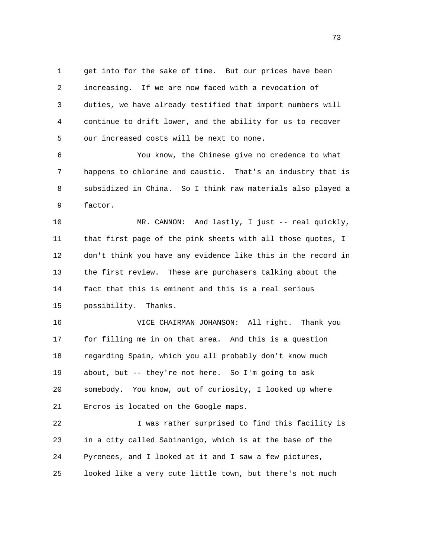1 get into for the sake of time. But our prices have been 2 increasing. If we are now faced with a revocation of 3 duties, we have already testified that import numbers will 4 continue to drift lower, and the ability for us to recover 5 our increased costs will be next to none.

 6 You know, the Chinese give no credence to what 7 happens to chlorine and caustic. That's an industry that is 8 subsidized in China. So I think raw materials also played a 9 factor.

 10 MR. CANNON: And lastly, I just -- real quickly, 11 that first page of the pink sheets with all those quotes, I 12 don't think you have any evidence like this in the record in 13 the first review. These are purchasers talking about the 14 fact that this is eminent and this is a real serious 15 possibility. Thanks.

 16 VICE CHAIRMAN JOHANSON: All right. Thank you 17 for filling me in on that area. And this is a question 18 regarding Spain, which you all probably don't know much 19 about, but -- they're not here. So I'm going to ask 20 somebody. You know, out of curiosity, I looked up where 21 Ercros is located on the Google maps.

 22 I was rather surprised to find this facility is 23 in a city called Sabinanigo, which is at the base of the 24 Pyrenees, and I looked at it and I saw a few pictures, 25 looked like a very cute little town, but there's not much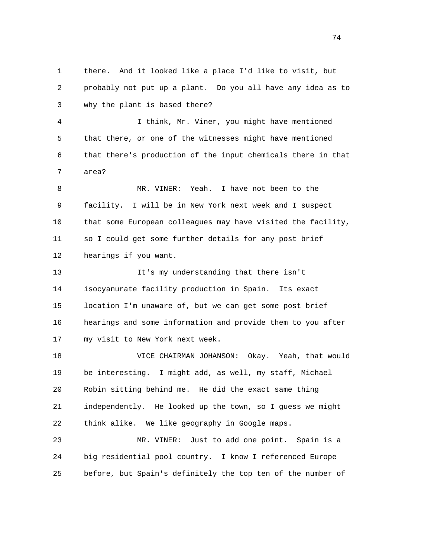1 there. And it looked like a place I'd like to visit, but 2 probably not put up a plant. Do you all have any idea as to 3 why the plant is based there? 4 I think, Mr. Viner, you might have mentioned 5 that there, or one of the witnesses might have mentioned 6 that there's production of the input chemicals there in that 7 area? 8 MR. VINER: Yeah. I have not been to the 9 facility. I will be in New York next week and I suspect 10 that some European colleagues may have visited the facility, 11 so I could get some further details for any post brief 12 hearings if you want. 13 It's my understanding that there isn't 14 isocyanurate facility production in Spain. Its exact 15 location I'm unaware of, but we can get some post brief 16 hearings and some information and provide them to you after 17 my visit to New York next week. 18 VICE CHAIRMAN JOHANSON: Okay. Yeah, that would 19 be interesting. I might add, as well, my staff, Michael 20 Robin sitting behind me. He did the exact same thing 21 independently. He looked up the town, so I guess we might 22 think alike. We like geography in Google maps. 23 MR. VINER: Just to add one point. Spain is a 24 big residential pool country. I know I referenced Europe 25 before, but Spain's definitely the top ten of the number of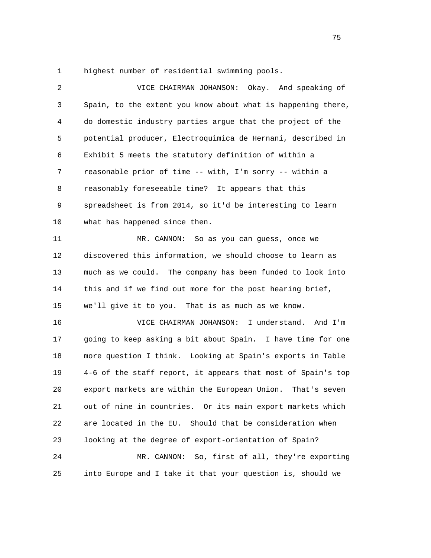1 highest number of residential swimming pools.

| $\overline{2}$ | VICE CHAIRMAN JOHANSON:<br>Okay. And speaking of             |
|----------------|--------------------------------------------------------------|
| 3              | Spain, to the extent you know about what is happening there, |
| 4              | do domestic industry parties argue that the project of the   |
| 5              | potential producer, Electroquimica de Hernani, described in  |
| 6              | Exhibit 5 meets the statutory definition of within a         |
| 7              | reasonable prior of time -- with, I'm sorry -- within a      |
| 8              | reasonably foreseeable time? It appears that this            |
| 9              | spreadsheet is from 2014, so it'd be interesting to learn    |
| 10             | what has happened since then.                                |
| 11             | MR. CANNON: So as you can guess, once we                     |
| 12             | discovered this information, we should choose to learn as    |
| 13             | much as we could. The company has been funded to look into   |
| 14             | this and if we find out more for the post hearing brief,     |
| 15             | we'll give it to you. That is as much as we know.            |
| 16             | VICE CHAIRMAN JOHANSON:<br>I understand. And I'm             |
| 17             | going to keep asking a bit about Spain. I have time for one  |
| 18             | more question I think. Looking at Spain's exports in Table   |
| 19             | 4-6 of the staff report, it appears that most of Spain's top |
| 20             | export markets are within the European Union. That's seven   |
| 21             | out of nine in countries. Or its main export markets which   |
| 22             | are located in the EU. Should that be consideration when     |
| 23             | looking at the degree of export-orientation of Spain?        |
| 24             | So, first of all, they're exporting<br>MR. CANNON:           |
| 25             | into Europe and I take it that your question is, should we   |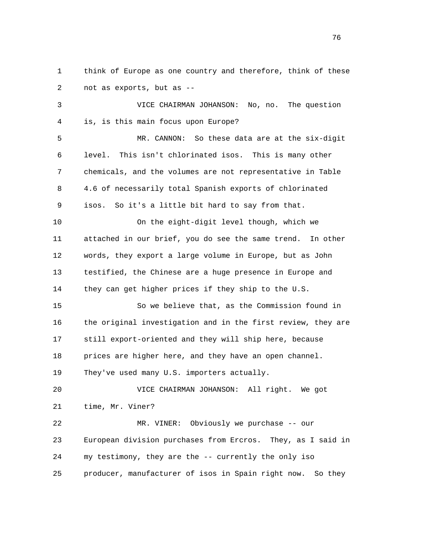1 think of Europe as one country and therefore, think of these 2 not as exports, but as --

 3 VICE CHAIRMAN JOHANSON: No, no. The question 4 is, is this main focus upon Europe?

 5 MR. CANNON: So these data are at the six-digit 6 level. This isn't chlorinated isos. This is many other 7 chemicals, and the volumes are not representative in Table 8 4.6 of necessarily total Spanish exports of chlorinated 9 isos. So it's a little bit hard to say from that.

 10 On the eight-digit level though, which we 11 attached in our brief, you do see the same trend. In other 12 words, they export a large volume in Europe, but as John 13 testified, the Chinese are a huge presence in Europe and 14 they can get higher prices if they ship to the U.S.

 15 So we believe that, as the Commission found in 16 the original investigation and in the first review, they are 17 still export-oriented and they will ship here, because 18 prices are higher here, and they have an open channel. 19 They've used many U.S. importers actually.

 20 VICE CHAIRMAN JOHANSON: All right. We got 21 time, Mr. Viner?

 22 MR. VINER: Obviously we purchase -- our 23 European division purchases from Ercros. They, as I said in 24 my testimony, they are the -- currently the only iso 25 producer, manufacturer of isos in Spain right now. So they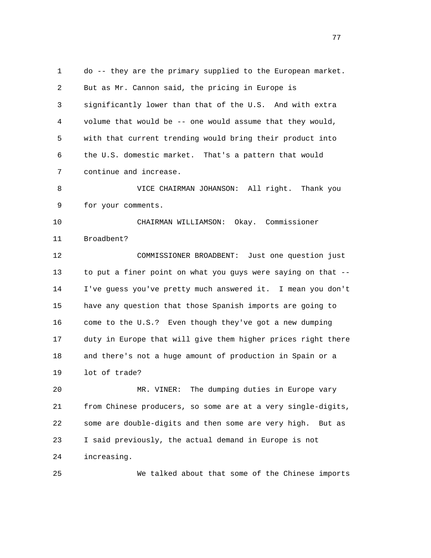1 do -- they are the primary supplied to the European market. 2 But as Mr. Cannon said, the pricing in Europe is 3 significantly lower than that of the U.S. And with extra 4 volume that would be -- one would assume that they would, 5 with that current trending would bring their product into 6 the U.S. domestic market. That's a pattern that would 7 continue and increase. 8 VICE CHAIRMAN JOHANSON: All right. Thank you 9 for your comments. 10 CHAIRMAN WILLIAMSON: Okay. Commissioner 11 Broadbent? 12 COMMISSIONER BROADBENT: Just one question just 13 to put a finer point on what you guys were saying on that -- 14 I've guess you've pretty much answered it. I mean you don't 15 have any question that those Spanish imports are going to 16 come to the U.S.? Even though they've got a new dumping 17 duty in Europe that will give them higher prices right there 18 and there's not a huge amount of production in Spain or a 19 lot of trade? 20 MR. VINER: The dumping duties in Europe vary 21 from Chinese producers, so some are at a very single-digits, 22 some are double-digits and then some are very high. But as 23 I said previously, the actual demand in Europe is not 24 increasing.

25 We talked about that some of the Chinese imports

na na matsay na matsay na matsay na matsay na matsay na matsay na matsay na matsay na matsay na matsay na mats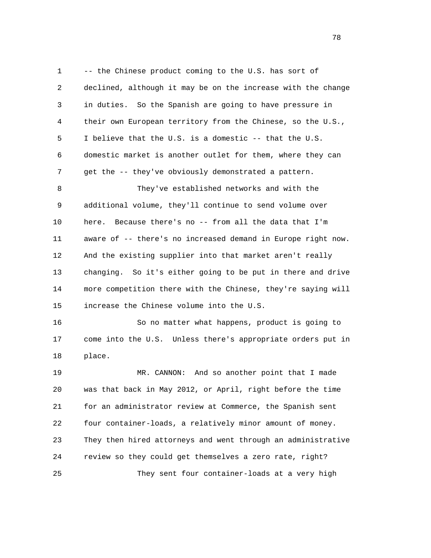1 -- the Chinese product coming to the U.S. has sort of 2 declined, although it may be on the increase with the change 3 in duties. So the Spanish are going to have pressure in 4 their own European territory from the Chinese, so the U.S., 5 I believe that the U.S. is a domestic -- that the U.S. 6 domestic market is another outlet for them, where they can 7 get the -- they've obviously demonstrated a pattern. 8 They've established networks and with the 9 additional volume, they'll continue to send volume over 10 here. Because there's no -- from all the data that I'm 11 aware of -- there's no increased demand in Europe right now. 12 And the existing supplier into that market aren't really 13 changing. So it's either going to be put in there and drive 14 more competition there with the Chinese, they're saying will 15 increase the Chinese volume into the U.S. 16 So no matter what happens, product is going to

 17 come into the U.S. Unless there's appropriate orders put in 18 place.

 19 MR. CANNON: And so another point that I made 20 was that back in May 2012, or April, right before the time 21 for an administrator review at Commerce, the Spanish sent 22 four container-loads, a relatively minor amount of money. 23 They then hired attorneys and went through an administrative 24 review so they could get themselves a zero rate, right? 25 They sent four container-loads at a very high

n and the state of the state of the state of the state of the state of the state of the state of the state of the state of the state of the state of the state of the state of the state of the state of the state of the stat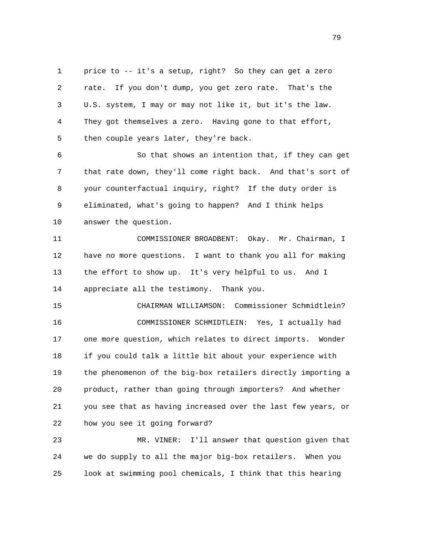1 price to -- it's a setup, right? So they can get a zero 2 rate. If you don't dump, you get zero rate. That's the 3 U.S. system, I may or may not like it, but it's the law. 4 They got themselves a zero. Having gone to that effort, 5 then couple years later, they're back.

 6 So that shows an intention that, if they can get 7 that rate down, they'll come right back. And that's sort of 8 your counterfactual inquiry, right? If the duty order is 9 eliminated, what's going to happen? And I think helps 10 answer the question.

 11 COMMISSIONER BROADBENT: Okay. Mr. Chairman, I 12 have no more questions. I want to thank you all for making 13 the effort to show up. It's very helpful to us. And I 14 appreciate all the testimony. Thank you.

 15 CHAIRMAN WILLIAMSON: Commissioner Schmidtlein? 16 COMMISSIONER SCHMIDTLEIN: Yes, I actually had 17 one more question, which relates to direct imports. Wonder 18 if you could talk a little bit about your experience with 19 the phenomenon of the big-box retailers directly importing a 20 product, rather than going through importers? And whether 21 you see that as having increased over the last few years, or 22 how you see it going forward?

 23 MR. VINER: I'll answer that question given that 24 we do supply to all the major big-box retailers. When you 25 look at swimming pool chemicals, I think that this hearing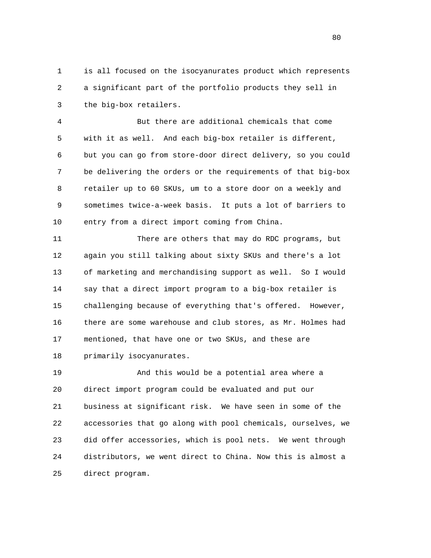1 is all focused on the isocyanurates product which represents 2 a significant part of the portfolio products they sell in 3 the big-box retailers.

 4 But there are additional chemicals that come 5 with it as well. And each big-box retailer is different, 6 but you can go from store-door direct delivery, so you could 7 be delivering the orders or the requirements of that big-box 8 retailer up to 60 SKUs, um to a store door on a weekly and 9 sometimes twice-a-week basis. It puts a lot of barriers to 10 entry from a direct import coming from China.

 11 There are others that may do RDC programs, but 12 again you still talking about sixty SKUs and there's a lot 13 of marketing and merchandising support as well. So I would 14 say that a direct import program to a big-box retailer is 15 challenging because of everything that's offered. However, 16 there are some warehouse and club stores, as Mr. Holmes had 17 mentioned, that have one or two SKUs, and these are 18 primarily isocyanurates.

 19 And this would be a potential area where a 20 direct import program could be evaluated and put our 21 business at significant risk. We have seen in some of the 22 accessories that go along with pool chemicals, ourselves, we 23 did offer accessories, which is pool nets. We went through 24 distributors, we went direct to China. Now this is almost a 25 direct program.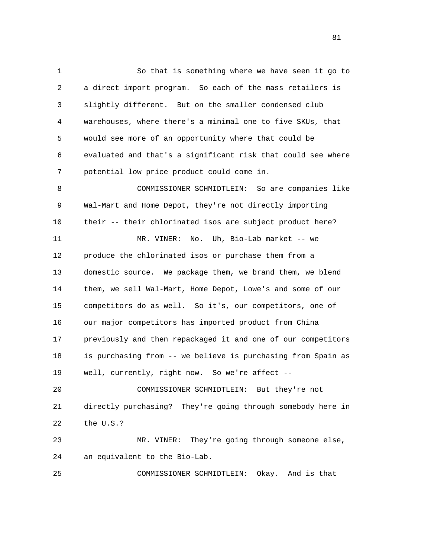1 So that is something where we have seen it go to 2 a direct import program. So each of the mass retailers is 3 slightly different. But on the smaller condensed club 4 warehouses, where there's a minimal one to five SKUs, that 5 would see more of an opportunity where that could be 6 evaluated and that's a significant risk that could see where 7 potential low price product could come in. 8 COMMISSIONER SCHMIDTLEIN: So are companies like 9 Wal-Mart and Home Depot, they're not directly importing 10 their -- their chlorinated isos are subject product here? 11 MR. VINER: No. Uh, Bio-Lab market -- we 12 produce the chlorinated isos or purchase them from a 13 domestic source. We package them, we brand them, we blend 14 them, we sell Wal-Mart, Home Depot, Lowe's and some of our 15 competitors do as well. So it's, our competitors, one of 16 our major competitors has imported product from China 17 previously and then repackaged it and one of our competitors 18 is purchasing from -- we believe is purchasing from Spain as 19 well, currently, right now. So we're affect -- 20 COMMISSIONER SCHMIDTLEIN: But they're not 21 directly purchasing? They're going through somebody here in 22 the U.S.? 23 MR. VINER: They're going through someone else, 24 an equivalent to the Bio-Lab. 25 COMMISSIONER SCHMIDTLEIN: Okay. And is that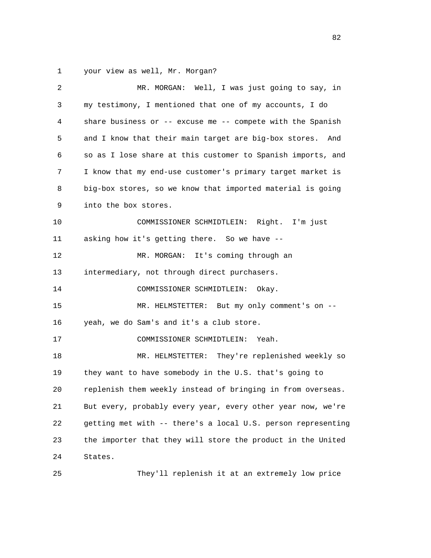1 your view as well, Mr. Morgan?

| 2  | MR. MORGAN: Well, I was just going to say, in                    |
|----|------------------------------------------------------------------|
| 3  | my testimony, I mentioned that one of my accounts, I do          |
| 4  | share business or $-$ - excuse me $-$ - compete with the Spanish |
| 5  | and I know that their main target are big-box stores. And        |
| 6  | so as I lose share at this customer to Spanish imports, and      |
| 7  | I know that my end-use customer's primary target market is       |
| 8  | big-box stores, so we know that imported material is going       |
| 9  | into the box stores.                                             |
| 10 | COMMISSIONER SCHMIDTLEIN: Right. I'm just                        |
| 11 | asking how it's getting there. So we have --                     |
| 12 | MR. MORGAN: It's coming through an                               |
| 13 | intermediary, not through direct purchasers.                     |
| 14 | COMMISSIONER SCHMIDTLEIN:<br>Okay.                               |
| 15 | MR. HELMSTETTER: But my only comment's on --                     |
| 16 | yeah, we do Sam's and it's a club store.                         |
| 17 | COMMISSIONER SCHMIDTLEIN:<br>Yeah.                               |
| 18 | They're replenished weekly so<br>MR. HELMSTETTER:                |
| 19 | they want to have somebody in the U.S. that's going to           |
| 20 | replenish them weekly instead of bringing in from overseas.      |
| 21 | But every, probably every year, every other year now, we're      |
| 22 | getting met with -- there's a local U.S. person representing     |
| 23 | the importer that they will store the product in the United      |
| 24 | States.                                                          |
| 25 | They'll replenish it at an extremely low price                   |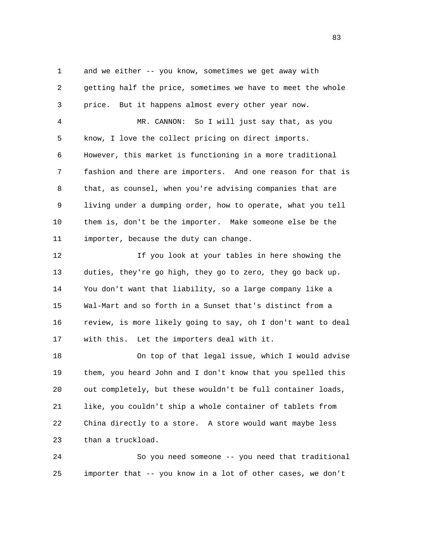1 and we either -- you know, sometimes we get away with 2 getting half the price, sometimes we have to meet the whole 3 price. But it happens almost every other year now. 4 MR. CANNON: So I will just say that, as you 5 know, I love the collect pricing on direct imports. 6 However, this market is functioning in a more traditional 7 fashion and there are importers. And one reason for that is 8 that, as counsel, when you're advising companies that are 9 living under a dumping order, how to operate, what you tell 10 them is, don't be the importer. Make someone else be the 11 importer, because the duty can change. 12 If you look at your tables in here showing the

 13 duties, they're go high, they go to zero, they go back up. 14 You don't want that liability, so a large company like a 15 Wal-Mart and so forth in a Sunset that's distinct from a 16 review, is more likely going to say, oh I don't want to deal 17 with this. Let the importers deal with it.

 18 On top of that legal issue, which I would advise 19 them, you heard John and I don't know that you spelled this 20 out completely, but these wouldn't be full container loads, 21 like, you couldn't ship a whole container of tablets from 22 China directly to a store. A store would want maybe less 23 than a truckload.

 24 So you need someone -- you need that traditional 25 importer that -- you know in a lot of other cases, we don't

<u>83</u>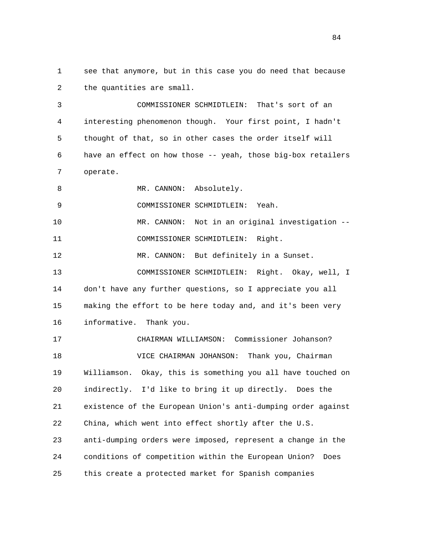1 see that anymore, but in this case you do need that because 2 the quantities are small.

 3 COMMISSIONER SCHMIDTLEIN: That's sort of an 4 interesting phenomenon though. Your first point, I hadn't 5 thought of that, so in other cases the order itself will 6 have an effect on how those -- yeah, those big-box retailers 7 operate.

8 MR. CANNON: Absolutely.

9 COMMISSIONER SCHMIDTLEIN: Yeah.

 10 MR. CANNON: Not in an original investigation -- 11 COMMISSIONER SCHMIDTLEIN: Right.

12 MR. CANNON: But definitely in a Sunset. 13 COMMISSIONER SCHMIDTLEIN: Right. Okay, well, I 14 don't have any further questions, so I appreciate you all 15 making the effort to be here today and, and it's been very 16 informative. Thank you.

 17 CHAIRMAN WILLIAMSON: Commissioner Johanson? 18 VICE CHAIRMAN JOHANSON: Thank you, Chairman 19 Williamson. Okay, this is something you all have touched on 20 indirectly. I'd like to bring it up directly. Does the 21 existence of the European Union's anti-dumping order against 22 China, which went into effect shortly after the U.S. 23 anti-dumping orders were imposed, represent a change in the 24 conditions of competition within the European Union? Does 25 this create a protected market for Spanish companies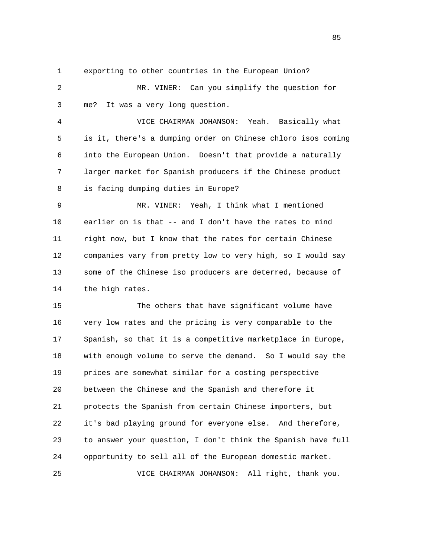1 exporting to other countries in the European Union?

 2 MR. VINER: Can you simplify the question for 3 me? It was a very long question.

 4 VICE CHAIRMAN JOHANSON: Yeah. Basically what 5 is it, there's a dumping order on Chinese chloro isos coming 6 into the European Union. Doesn't that provide a naturally 7 larger market for Spanish producers if the Chinese product 8 is facing dumping duties in Europe?

 9 MR. VINER: Yeah, I think what I mentioned 10 earlier on is that -- and I don't have the rates to mind 11 right now, but I know that the rates for certain Chinese 12 companies vary from pretty low to very high, so I would say 13 some of the Chinese iso producers are deterred, because of 14 the high rates.

 15 The others that have significant volume have 16 very low rates and the pricing is very comparable to the 17 Spanish, so that it is a competitive marketplace in Europe, 18 with enough volume to serve the demand. So I would say the 19 prices are somewhat similar for a costing perspective 20 between the Chinese and the Spanish and therefore it 21 protects the Spanish from certain Chinese importers, but 22 it's bad playing ground for everyone else. And therefore, 23 to answer your question, I don't think the Spanish have full 24 opportunity to sell all of the European domestic market. 25 VICE CHAIRMAN JOHANSON: All right, thank you.

<u>85</u>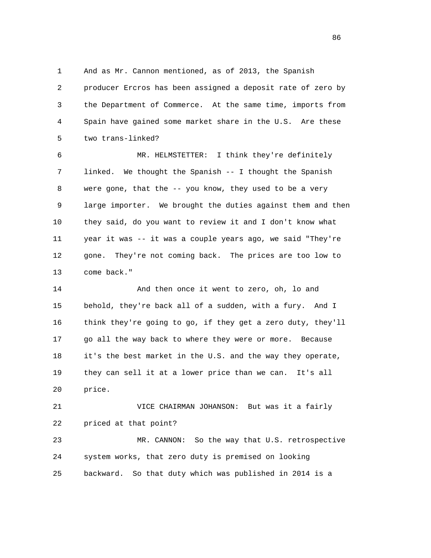1 And as Mr. Cannon mentioned, as of 2013, the Spanish 2 producer Ercros has been assigned a deposit rate of zero by 3 the Department of Commerce. At the same time, imports from 4 Spain have gained some market share in the U.S. Are these 5 two trans-linked?

 6 MR. HELMSTETTER: I think they're definitely 7 linked. We thought the Spanish -- I thought the Spanish 8 were gone, that the -- you know, they used to be a very 9 large importer. We brought the duties against them and then 10 they said, do you want to review it and I don't know what 11 year it was -- it was a couple years ago, we said "They're 12 gone. They're not coming back. The prices are too low to 13 come back."

 14 And then once it went to zero, oh, lo and 15 behold, they're back all of a sudden, with a fury. And I 16 think they're going to go, if they get a zero duty, they'll 17 go all the way back to where they were or more. Because 18 it's the best market in the U.S. and the way they operate, 19 they can sell it at a lower price than we can. It's all 20 price.

 21 VICE CHAIRMAN JOHANSON: But was it a fairly 22 priced at that point? 23 MR. CANNON: So the way that U.S. retrospective 24 system works, that zero duty is premised on looking

25 backward. So that duty which was published in 2014 is a

<u>86 and 2001 and 2002 and 2003 and 2003 and 2003 and 2003 and 2003 and 2003 and 2003 and 2003 and 2003 and 200</u>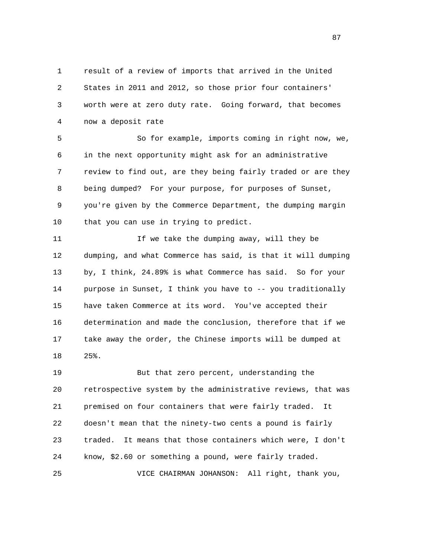1 result of a review of imports that arrived in the United 2 States in 2011 and 2012, so those prior four containers' 3 worth were at zero duty rate. Going forward, that becomes 4 now a deposit rate

 5 So for example, imports coming in right now, we, 6 in the next opportunity might ask for an administrative 7 review to find out, are they being fairly traded or are they 8 being dumped? For your purpose, for purposes of Sunset, 9 you're given by the Commerce Department, the dumping margin 10 that you can use in trying to predict.

 11 If we take the dumping away, will they be 12 dumping, and what Commerce has said, is that it will dumping 13 by, I think, 24.89% is what Commerce has said. So for your 14 purpose in Sunset, I think you have to -- you traditionally 15 have taken Commerce at its word. You've accepted their 16 determination and made the conclusion, therefore that if we 17 take away the order, the Chinese imports will be dumped at 18 25%.

 19 But that zero percent, understanding the 20 retrospective system by the administrative reviews, that was 21 premised on four containers that were fairly traded. It 22 doesn't mean that the ninety-two cents a pound is fairly 23 traded. It means that those containers which were, I don't 24 know, \$2.60 or something a pound, were fairly traded. 25 VICE CHAIRMAN JOHANSON: All right, thank you,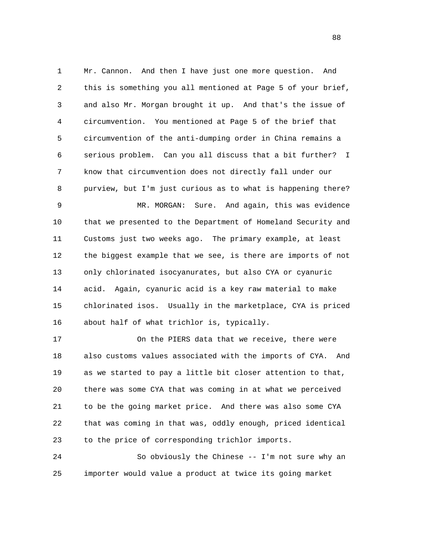1 Mr. Cannon. And then I have just one more question. And 2 this is something you all mentioned at Page 5 of your brief, 3 and also Mr. Morgan brought it up. And that's the issue of 4 circumvention. You mentioned at Page 5 of the brief that 5 circumvention of the anti-dumping order in China remains a 6 serious problem. Can you all discuss that a bit further? I 7 know that circumvention does not directly fall under our 8 purview, but I'm just curious as to what is happening there? 9 MR. MORGAN: Sure. And again, this was evidence 10 that we presented to the Department of Homeland Security and

 11 Customs just two weeks ago. The primary example, at least 12 the biggest example that we see, is there are imports of not 13 only chlorinated isocyanurates, but also CYA or cyanuric 14 acid. Again, cyanuric acid is a key raw material to make 15 chlorinated isos. Usually in the marketplace, CYA is priced 16 about half of what trichlor is, typically.

 17 On the PIERS data that we receive, there were 18 also customs values associated with the imports of CYA. And 19 as we started to pay a little bit closer attention to that, 20 there was some CYA that was coming in at what we perceived 21 to be the going market price. And there was also some CYA 22 that was coming in that was, oddly enough, priced identical 23 to the price of corresponding trichlor imports.

 24 So obviously the Chinese -- I'm not sure why an 25 importer would value a product at twice its going market

en and the state of the state of the state of the state of the state of the state of the state of the state of the state of the state of the state of the state of the state of the state of the state of the state of the sta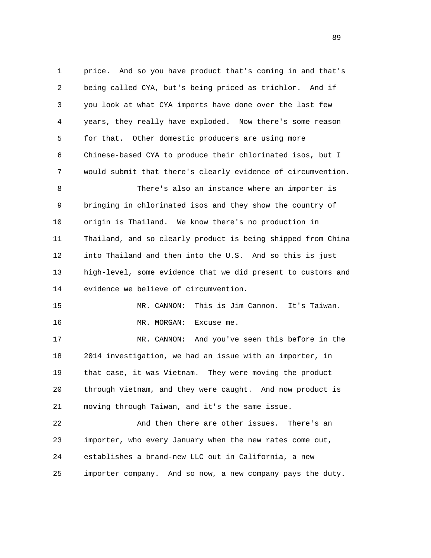1 price. And so you have product that's coming in and that's 2 being called CYA, but's being priced as trichlor. And if 3 you look at what CYA imports have done over the last few 4 years, they really have exploded. Now there's some reason 5 for that. Other domestic producers are using more 6 Chinese-based CYA to produce their chlorinated isos, but I 7 would submit that there's clearly evidence of circumvention. 8 There's also an instance where an importer is 9 bringing in chlorinated isos and they show the country of 10 origin is Thailand. We know there's no production in 11 Thailand, and so clearly product is being shipped from China 12 into Thailand and then into the U.S. And so this is just 13 high-level, some evidence that we did present to customs and 14 evidence we believe of circumvention. 15 MR. CANNON: This is Jim Cannon. It's Taiwan. 16 MR. MORGAN: Excuse me. 17 MR. CANNON: And you've seen this before in the 18 2014 investigation, we had an issue with an importer, in 19 that case, it was Vietnam. They were moving the product 20 through Vietnam, and they were caught. And now product is 21 moving through Taiwan, and it's the same issue. 22 And then there are other issues. There's an 23 importer, who every January when the new rates come out, 24 establishes a brand-new LLC out in California, a new 25 importer company. And so now, a new company pays the duty.

89 and the state of the state of the state of the state of the state of the state of the state of the state of the state of the state of the state of the state of the state of the state of the state of the state of the sta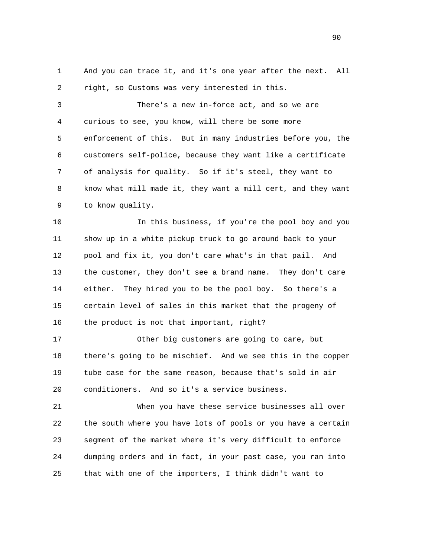1 And you can trace it, and it's one year after the next. All 2 right, so Customs was very interested in this.

 3 There's a new in-force act, and so we are 4 curious to see, you know, will there be some more 5 enforcement of this. But in many industries before you, the 6 customers self-police, because they want like a certificate 7 of analysis for quality. So if it's steel, they want to 8 know what mill made it, they want a mill cert, and they want 9 to know quality.

 10 In this business, if you're the pool boy and you 11 show up in a white pickup truck to go around back to your 12 pool and fix it, you don't care what's in that pail. And 13 the customer, they don't see a brand name. They don't care 14 either. They hired you to be the pool boy. So there's a 15 certain level of sales in this market that the progeny of 16 the product is not that important, right?

 17 Other big customers are going to care, but 18 there's going to be mischief. And we see this in the copper 19 tube case for the same reason, because that's sold in air 20 conditioners. And so it's a service business.

 21 When you have these service businesses all over 22 the south where you have lots of pools or you have a certain 23 segment of the market where it's very difficult to enforce 24 dumping orders and in fact, in your past case, you ran into 25 that with one of the importers, I think didn't want to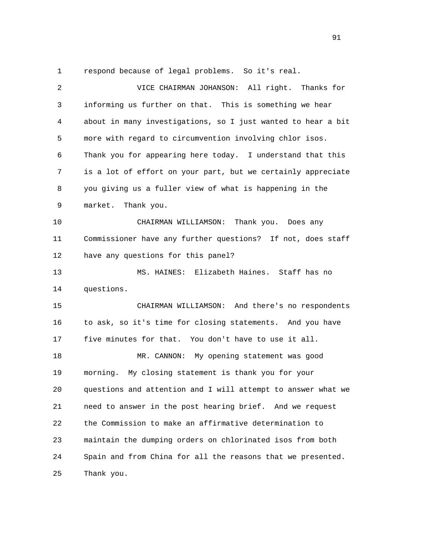1 respond because of legal problems. So it's real.

 2 VICE CHAIRMAN JOHANSON: All right. Thanks for 3 informing us further on that. This is something we hear 4 about in many investigations, so I just wanted to hear a bit 5 more with regard to circumvention involving chlor isos. 6 Thank you for appearing here today. I understand that this 7 is a lot of effort on your part, but we certainly appreciate 8 you giving us a fuller view of what is happening in the 9 market. Thank you. 10 CHAIRMAN WILLIAMSON: Thank you. Does any 11 Commissioner have any further questions? If not, does staff 12 have any questions for this panel? 13 MS. HAINES: Elizabeth Haines. Staff has no 14 questions. 15 CHAIRMAN WILLIAMSON: And there's no respondents 16 to ask, so it's time for closing statements. And you have 17 five minutes for that. You don't have to use it all. 18 MR. CANNON: My opening statement was good 19 morning. My closing statement is thank you for your 20 questions and attention and I will attempt to answer what we 21 need to answer in the post hearing brief. And we request 22 the Commission to make an affirmative determination to 23 maintain the dumping orders on chlorinated isos from both 24 Spain and from China for all the reasons that we presented. 25 Thank you.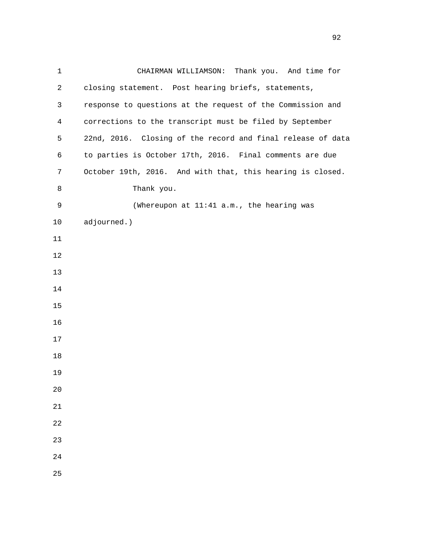| $\mathbf 1$    | CHAIRMAN WILLIAMSON: Thank you. And time for                |
|----------------|-------------------------------------------------------------|
| $\overline{2}$ | closing statement. Post hearing briefs, statements,         |
| 3              | response to questions at the request of the Commission and  |
| $\overline{4}$ | corrections to the transcript must be filed by September    |
| 5              | 22nd, 2016. Closing of the record and final release of data |
| 6              | to parties is October 17th, 2016. Final comments are due    |
| 7              | October 19th, 2016. And with that, this hearing is closed.  |
| 8              | Thank you.                                                  |
| 9              | (Whereupon at 11:41 a.m., the hearing was                   |
| $10$           | adjourned.)                                                 |
| 11             |                                                             |
| 12             |                                                             |
| 13             |                                                             |
| 14             |                                                             |
| 15             |                                                             |
| 16             |                                                             |
| 17             |                                                             |
| 18             |                                                             |
| 19             |                                                             |
| 20             |                                                             |
| $21\,$         |                                                             |
| 22             |                                                             |
| 23             |                                                             |
| 24             |                                                             |
| 25             |                                                             |